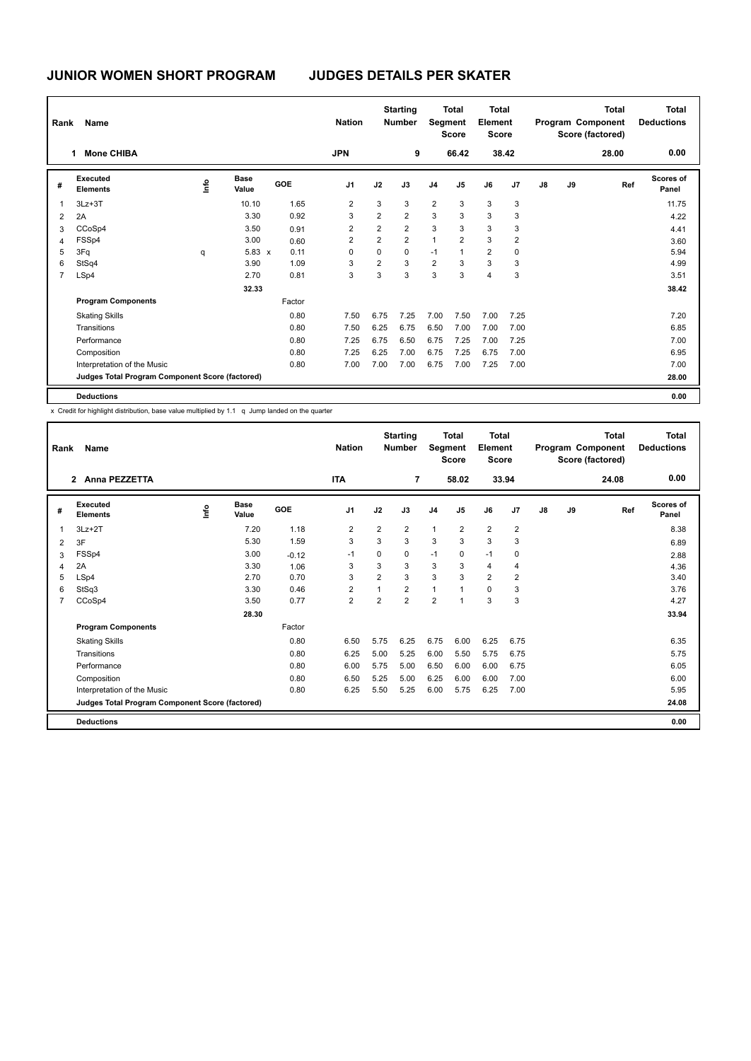# **JUNIOR WOMEN SHORT PROGRAM JUDGES DETAILS PER SKATER**

| Rank           | Name                                            |      | <b>Nation</b>        |        | <b>Starting</b><br><b>Number</b> |                | <b>Total</b><br>Segment<br><b>Score</b> | <b>Total</b><br>Element<br><b>Score</b> |                |                |                | <b>Total</b><br>Program Component<br>Score (factored) | <b>Total</b><br><b>Deductions</b> |       |                           |
|----------------|-------------------------------------------------|------|----------------------|--------|----------------------------------|----------------|-----------------------------------------|-----------------------------------------|----------------|----------------|----------------|-------------------------------------------------------|-----------------------------------|-------|---------------------------|
|                | <b>Mone CHIBA</b>                               |      |                      |        | <b>JPN</b>                       |                | 9                                       |                                         | 66.42          |                | 38.42          |                                                       |                                   | 28.00 | 0.00                      |
| #              | <b>Executed</b><br><b>Elements</b>              | ١mfo | <b>Base</b><br>Value | GOE    | J <sub>1</sub>                   | J2             | J3                                      | J <sub>4</sub>                          | J <sub>5</sub> | J6             | J <sub>7</sub> | J8                                                    | J9                                | Ref   | <b>Scores of</b><br>Panel |
| 1              | $3Lz + 3T$                                      |      | 10.10                | 1.65   | 2                                | 3              | 3                                       | $\overline{2}$                          | 3              | 3              | 3              |                                                       |                                   |       | 11.75                     |
| 2              | 2A                                              |      | 3.30                 | 0.92   | 3                                | $\overline{2}$ | $\overline{2}$                          | 3                                       | 3              | 3              | 3              |                                                       |                                   |       | 4.22                      |
| 3              | CCoSp4                                          |      | 3.50                 | 0.91   | 2                                | $\overline{2}$ | $\overline{2}$                          | 3                                       | 3              | 3              | 3              |                                                       |                                   |       | 4.41                      |
| $\overline{4}$ | FSSp4                                           |      | 3.00                 | 0.60   | 2                                | $\overline{2}$ | $\overline{2}$                          | 1                                       | $\overline{2}$ | 3              | 2              |                                                       |                                   |       | 3.60                      |
| 5              | 3Fq                                             | q    | $5.83 \times$        | 0.11   | 0                                | $\mathbf 0$    | $\mathbf 0$                             | $-1$                                    | 1              | $\overline{2}$ | 0              |                                                       |                                   |       | 5.94                      |
| 6              | StSq4                                           |      | 3.90                 | 1.09   | 3                                | $\overline{2}$ | 3                                       | $\overline{2}$                          | 3              | 3              | 3              |                                                       |                                   |       | 4.99                      |
| $\overline{7}$ | LSp4                                            |      | 2.70                 | 0.81   | 3                                | 3              | 3                                       | 3                                       | 3              | $\overline{4}$ | 3              |                                                       |                                   |       | 3.51                      |
|                |                                                 |      | 32.33                |        |                                  |                |                                         |                                         |                |                |                |                                                       |                                   |       | 38.42                     |
|                | <b>Program Components</b>                       |      |                      | Factor |                                  |                |                                         |                                         |                |                |                |                                                       |                                   |       |                           |
|                | <b>Skating Skills</b>                           |      |                      | 0.80   | 7.50                             | 6.75           | 7.25                                    | 7.00                                    | 7.50           | 7.00           | 7.25           |                                                       |                                   |       | 7.20                      |
|                | Transitions                                     |      |                      | 0.80   | 7.50                             | 6.25           | 6.75                                    | 6.50                                    | 7.00           | 7.00           | 7.00           |                                                       |                                   |       | 6.85                      |
|                | Performance                                     |      |                      | 0.80   | 7.25                             | 6.75           | 6.50                                    | 6.75                                    | 7.25           | 7.00           | 7.25           |                                                       |                                   |       | 7.00                      |
|                | Composition                                     |      |                      | 0.80   | 7.25                             | 6.25           | 7.00                                    | 6.75                                    | 7.25           | 6.75           | 7.00           |                                                       |                                   |       | 6.95                      |
|                | Interpretation of the Music                     |      |                      | 0.80   | 7.00                             | 7.00           | 7.00                                    | 6.75                                    | 7.00           | 7.25           | 7.00           |                                                       |                                   |       | 7.00                      |
|                | Judges Total Program Component Score (factored) |      |                      |        |                                  |                |                                         |                                         |                |                |                |                                                       |                                   |       | 28.00                     |
|                | <b>Deductions</b>                               |      |                      |        |                                  |                |                                         |                                         |                |                |                |                                                       |                                   |       | 0.00                      |

x Credit for highlight distribution, base value multiplied by 1.1 q Jump landed on the quarter

|                | Name<br>Rank<br>2 Anna PEZZETTA                 |      |                      |         | <b>Nation</b>  |                | <b>Starting</b><br><b>Number</b> |                | <b>Total</b><br>Segment<br><b>Score</b> | <b>Total</b><br>Element<br><b>Score</b> |                |               |    | <b>Total</b><br>Program Component<br>Score (factored) | Total<br><b>Deductions</b> |
|----------------|-------------------------------------------------|------|----------------------|---------|----------------|----------------|----------------------------------|----------------|-----------------------------------------|-----------------------------------------|----------------|---------------|----|-------------------------------------------------------|----------------------------|
|                |                                                 |      |                      |         | <b>ITA</b>     |                | $\overline{7}$                   |                | 58.02                                   |                                         | 33.94          |               |    | 24.08                                                 | 0.00                       |
| #              | Executed<br><b>Elements</b>                     | lnfo | <b>Base</b><br>Value | GOE     | J <sub>1</sub> | J2             | J3                               | J <sub>4</sub> | J <sub>5</sub>                          | J6                                      | J <sub>7</sub> | $\mathsf{J}8$ | J9 | Ref                                                   | <b>Scores of</b><br>Panel  |
| 1              | $3Lz + 2T$                                      |      | 7.20                 | 1.18    | $\overline{2}$ | $\overline{2}$ | $\overline{2}$                   | $\mathbf{1}$   | $\overline{2}$                          | $\overline{2}$                          | $\overline{2}$ |               |    |                                                       | 8.38                       |
| 2              | 3F                                              |      | 5.30                 | 1.59    | 3              | 3              | 3                                | 3              | 3                                       | 3                                       | 3              |               |    |                                                       | 6.89                       |
| 3              | FSSp4                                           |      | 3.00                 | $-0.12$ | $-1$           | 0              | 0                                | $-1$           | 0                                       | $-1$                                    | 0              |               |    |                                                       | 2.88                       |
| 4              | 2A                                              |      | 3.30                 | 1.06    | 3              | 3              | 3                                | 3              | 3                                       | $\overline{4}$                          | 4              |               |    |                                                       | 4.36                       |
| 5              | LSp4                                            |      | 2.70                 | 0.70    | 3              | $\overline{2}$ | 3                                | 3              | 3                                       | $\overline{2}$                          | $\overline{2}$ |               |    |                                                       | 3.40                       |
| 6              | StSq3                                           |      | 3.30                 | 0.46    | $\overline{2}$ | $\overline{1}$ | $\overline{2}$                   | $\mathbf{1}$   | $\overline{\phantom{a}}$                | $\Omega$                                | 3              |               |    |                                                       | 3.76                       |
| $\overline{7}$ | CCoSp4                                          |      | 3.50                 | 0.77    | $\overline{2}$ | $\overline{2}$ | $\overline{2}$                   | $\overline{2}$ | 1                                       | 3                                       | 3              |               |    |                                                       | 4.27                       |
|                |                                                 |      | 28.30                |         |                |                |                                  |                |                                         |                                         |                |               |    |                                                       | 33.94                      |
|                | <b>Program Components</b>                       |      |                      | Factor  |                |                |                                  |                |                                         |                                         |                |               |    |                                                       |                            |
|                | <b>Skating Skills</b>                           |      |                      | 0.80    | 6.50           | 5.75           | 6.25                             | 6.75           | 6.00                                    | 6.25                                    | 6.75           |               |    |                                                       | 6.35                       |
|                | Transitions                                     |      |                      | 0.80    | 6.25           | 5.00           | 5.25                             | 6.00           | 5.50                                    | 5.75                                    | 6.75           |               |    |                                                       | 5.75                       |
|                | Performance                                     |      |                      | 0.80    | 6.00           | 5.75           | 5.00                             | 6.50           | 6.00                                    | 6.00                                    | 6.75           |               |    |                                                       | 6.05                       |
|                | Composition                                     |      |                      | 0.80    | 6.50           | 5.25           | 5.00                             | 6.25           | 6.00                                    | 6.00                                    | 7.00           |               |    |                                                       | 6.00                       |
|                | Interpretation of the Music                     |      |                      | 0.80    | 6.25           | 5.50           | 5.25                             | 6.00           | 5.75                                    | 6.25                                    | 7.00           |               |    |                                                       | 5.95                       |
|                | Judges Total Program Component Score (factored) |      |                      |         |                |                |                                  |                |                                         |                                         |                |               |    |                                                       | 24.08                      |
|                | <b>Deductions</b>                               |      |                      |         |                |                |                                  |                |                                         |                                         |                |               |    |                                                       | 0.00                       |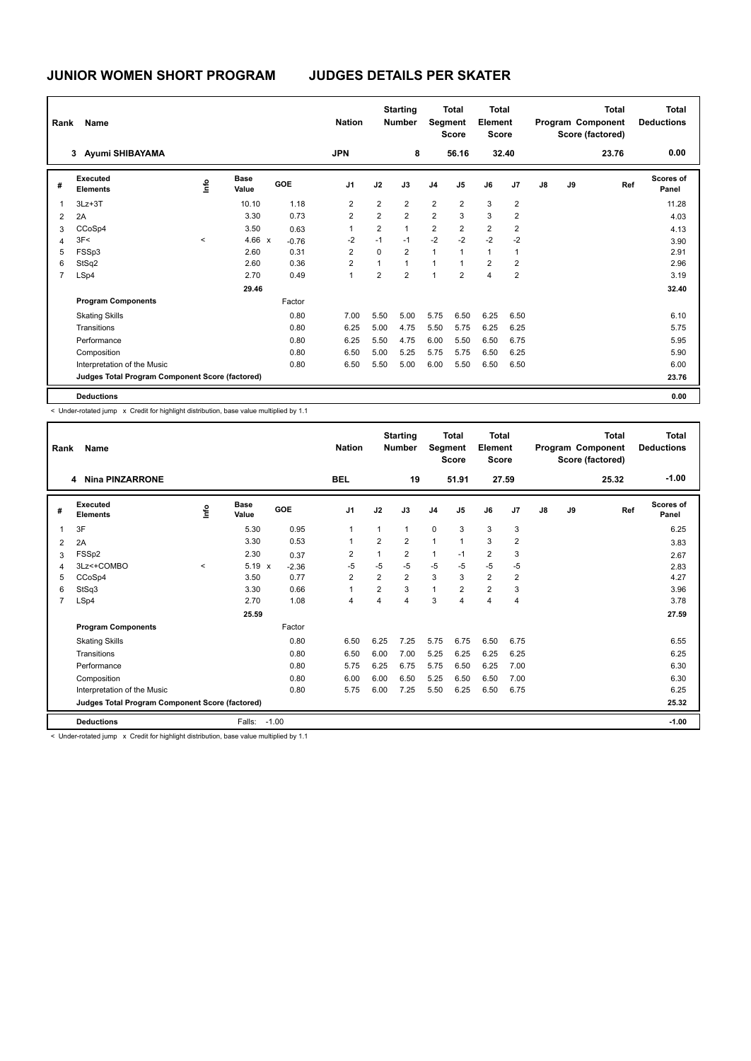| Rank           | Name                                            |         |                      |         | <b>Nation</b>  |                | <b>Starting</b><br><b>Number</b> |                | <b>Total</b><br>Segment<br><b>Score</b> | <b>Total</b><br>Element<br><b>Score</b> |                |    |    | <b>Total</b><br>Program Component<br>Score (factored) | Total<br><b>Deductions</b> |
|----------------|-------------------------------------------------|---------|----------------------|---------|----------------|----------------|----------------------------------|----------------|-----------------------------------------|-----------------------------------------|----------------|----|----|-------------------------------------------------------|----------------------------|
|                | Ayumi SHIBAYAMA<br>3                            |         |                      |         | <b>JPN</b>     |                | 8                                |                | 56.16                                   | 32.40                                   |                |    |    | 23.76                                                 | 0.00                       |
| #              | Executed<br><b>Elements</b>                     | lnfo    | <b>Base</b><br>Value | GOE     | J <sub>1</sub> | J2             | J3                               | J <sub>4</sub> | J5                                      | J6                                      | J7             | J8 | J9 | Ref                                                   | Scores of<br>Panel         |
| 1              | $3Lz + 3T$                                      |         | 10.10                | 1.18    | 2              | $\overline{2}$ | $\overline{2}$                   | $\overline{2}$ | $\overline{2}$                          | 3                                       | $\overline{2}$ |    |    |                                                       | 11.28                      |
| $\overline{2}$ | 2A                                              |         | 3.30                 | 0.73    | 2              | $\overline{2}$ | $\overline{2}$                   | $\overline{2}$ | 3                                       | 3                                       | $\overline{2}$ |    |    |                                                       | 4.03                       |
| 3              | CCoSp4                                          |         | 3.50                 | 0.63    | 1              | $\overline{2}$ | $\mathbf{1}$                     | $\overline{2}$ | $\overline{2}$                          | $\overline{2}$                          | 2              |    |    |                                                       | 4.13                       |
| 4              | 3F<                                             | $\prec$ | 4.66 $\times$        | $-0.76$ | $-2$           | $-1$           | $-1$                             | $-2$           | $-2$                                    | $-2$                                    | $-2$           |    |    |                                                       | 3.90                       |
| 5              | FSSp3                                           |         | 2.60                 | 0.31    | $\overline{2}$ | 0              | $\overline{2}$                   | $\mathbf{1}$   | $\overline{1}$                          | $\mathbf{1}$                            | 1              |    |    |                                                       | 2.91                       |
| 6              | StSq2                                           |         | 2.60                 | 0.36    | 2              | 1              | $\overline{1}$                   | 1              |                                         | $\overline{2}$                          | 2              |    |    |                                                       | 2.96                       |
| $\overline{7}$ | LSp4                                            |         | 2.70                 | 0.49    | 1              | $\overline{2}$ | $\overline{2}$                   | $\overline{1}$ | $\overline{2}$                          | $\overline{4}$                          | $\overline{2}$ |    |    |                                                       | 3.19                       |
|                |                                                 |         | 29.46                |         |                |                |                                  |                |                                         |                                         |                |    |    |                                                       | 32.40                      |
|                | <b>Program Components</b>                       |         |                      | Factor  |                |                |                                  |                |                                         |                                         |                |    |    |                                                       |                            |
|                | <b>Skating Skills</b>                           |         |                      | 0.80    | 7.00           | 5.50           | 5.00                             | 5.75           | 6.50                                    | 6.25                                    | 6.50           |    |    |                                                       | 6.10                       |
|                | Transitions                                     |         |                      | 0.80    | 6.25           | 5.00           | 4.75                             | 5.50           | 5.75                                    | 6.25                                    | 6.25           |    |    |                                                       | 5.75                       |
|                | Performance                                     |         |                      | 0.80    | 6.25           | 5.50           | 4.75                             | 6.00           | 5.50                                    | 6.50                                    | 6.75           |    |    |                                                       | 5.95                       |
|                | Composition                                     |         |                      | 0.80    | 6.50           | 5.00           | 5.25                             | 5.75           | 5.75                                    | 6.50                                    | 6.25           |    |    |                                                       | 5.90                       |
|                | Interpretation of the Music                     |         |                      | 0.80    | 6.50           | 5.50           | 5.00                             | 6.00           | 5.50                                    | 6.50                                    | 6.50           |    |    |                                                       | 6.00                       |
|                | Judges Total Program Component Score (factored) |         |                      |         |                |                |                                  |                |                                         |                                         |                |    |    |                                                       | 23.76                      |
|                | <b>Deductions</b>                               |         |                      |         |                |                |                                  |                |                                         |                                         |                |    |    |                                                       | 0.00                       |

< Under-rotated jump x Credit for highlight distribution, base value multiplied by 1.1

|                | <b>Name</b><br>Rank<br><b>Nina PINZARRONE</b><br>4                                                             |         |                      | <b>Nation</b> |                | <b>Starting</b><br><b>Number</b> | Segment        | <b>Total</b><br><b>Score</b> | <b>Total</b><br>Element<br>Score |                |                |               | <b>Total</b><br>Program Component<br>Score (factored) | Total<br><b>Deductions</b> |                           |
|----------------|----------------------------------------------------------------------------------------------------------------|---------|----------------------|---------------|----------------|----------------------------------|----------------|------------------------------|----------------------------------|----------------|----------------|---------------|-------------------------------------------------------|----------------------------|---------------------------|
|                |                                                                                                                |         |                      |               | <b>BEL</b>     |                                  | 19             |                              | 51.91                            | 27.59          |                |               |                                                       | 25.32                      | $-1.00$                   |
| #              | Executed<br><b>Elements</b>                                                                                    | ١nfo    | <b>Base</b><br>Value | <b>GOE</b>    | J <sub>1</sub> | J2                               | J3             | J <sub>4</sub>               | J <sub>5</sub>                   | J6             | J <sub>7</sub> | $\mathsf{J}8$ | J9                                                    | Ref                        | <b>Scores of</b><br>Panel |
| $\overline{1}$ | 3F                                                                                                             |         | 5.30                 | 0.95          | $\mathbf{1}$   | $\mathbf{1}$                     | 1              | $\mathbf 0$                  | 3                                | 3              | 3              |               |                                                       |                            | 6.25                      |
| 2              | 2A                                                                                                             |         | 3.30                 | 0.53          | $\mathbf 1$    | 2                                | $\overline{2}$ | $\overline{1}$               | $\mathbf{1}$                     | 3              | $\overline{2}$ |               |                                                       |                            | 3.83                      |
| 3              | FSS <sub>p2</sub>                                                                                              |         | 2.30                 | 0.37          | $\overline{2}$ | 1                                | $\overline{2}$ | $\mathbf{1}$                 | $-1$                             | $\overline{2}$ | 3              |               |                                                       |                            | 2.67                      |
| 4              | 3Lz<+COMBO                                                                                                     | $\prec$ | 5.19<br>$\mathsf{x}$ | $-2.36$       | $-5$           | $-5$                             | $-5$           | $-5$                         | $-5$                             | $-5$           | $-5$           |               |                                                       |                            | 2.83                      |
| 5              | CCoSp4                                                                                                         |         | 3.50                 | 0.77          | 2              | 2                                | $\overline{2}$ | 3                            | 3                                | $\overline{2}$ | 2              |               |                                                       |                            | 4.27                      |
| 6              | StSq3                                                                                                          |         | 3.30                 | 0.66          | $\overline{1}$ | $\overline{2}$                   | 3              | $\overline{1}$               | $\overline{2}$                   | $\overline{2}$ | 3              |               |                                                       |                            | 3.96                      |
| 7              | LSp4                                                                                                           |         | 2.70                 | 1.08          | $\overline{4}$ | 4                                | 4              | 3                            | $\overline{4}$                   | 4              | $\overline{4}$ |               |                                                       |                            | 3.78                      |
|                |                                                                                                                |         | 25.59                |               |                |                                  |                |                              |                                  |                |                |               |                                                       |                            | 27.59                     |
|                | <b>Program Components</b>                                                                                      |         |                      | Factor        |                |                                  |                |                              |                                  |                |                |               |                                                       |                            |                           |
|                | <b>Skating Skills</b>                                                                                          |         |                      | 0.80          | 6.50           | 6.25                             | 7.25           | 5.75                         | 6.75                             | 6.50           | 6.75           |               |                                                       |                            | 6.55                      |
|                | Transitions                                                                                                    |         |                      | 0.80          | 6.50           | 6.00                             | 7.00           | 5.25                         | 6.25                             | 6.25           | 6.25           |               |                                                       |                            | 6.25                      |
|                | Performance                                                                                                    |         |                      | 0.80          | 5.75           | 6.25                             | 6.75           | 5.75                         | 6.50                             | 6.25           | 7.00           |               |                                                       |                            | 6.30                      |
|                | Composition                                                                                                    |         |                      | 0.80          | 6.00           | 6.00                             | 6.50           | 5.25                         | 6.50                             | 6.50           | 7.00           |               |                                                       |                            | 6.30                      |
|                | Interpretation of the Music                                                                                    |         |                      | 0.80          | 5.75           | 6.00                             | 7.25           | 5.50                         | 6.25                             | 6.50           | 6.75           |               |                                                       |                            | 6.25                      |
|                | Judges Total Program Component Score (factored)                                                                |         |                      |               |                |                                  |                |                              |                                  |                |                |               |                                                       |                            | 25.32                     |
|                | <b>Deductions</b>                                                                                              |         | Falls:               | $-1.00$       |                |                                  |                |                              |                                  |                |                |               |                                                       |                            | $-1.00$                   |
|                | a chiadh ann an chuid ann an chuidh ann an chuidh an ainm an chuidh ann an chuid an chuidh an chuidh an chuidh |         |                      |               |                |                                  |                |                              |                                  |                |                |               |                                                       |                            |                           |

< Under-rotated jump x Credit for highlight distribution, base value multiplied by 1.1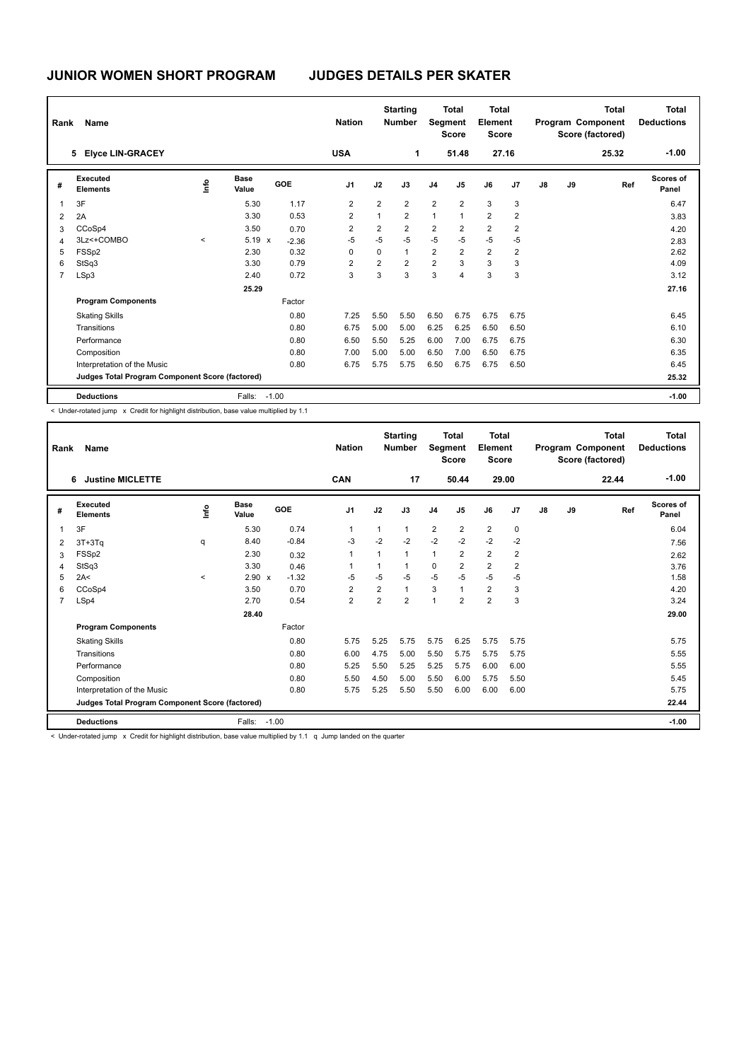| Rank           | Name                                            |         |                      |         | <b>Nation</b>  |                | <b>Starting</b><br><b>Number</b> | Segment        | <b>Total</b><br><b>Score</b> | <b>Total</b><br>Element<br><b>Score</b> |                |    |    | <b>Total</b><br>Program Component<br>Score (factored) | <b>Total</b><br><b>Deductions</b> |
|----------------|-------------------------------------------------|---------|----------------------|---------|----------------|----------------|----------------------------------|----------------|------------------------------|-----------------------------------------|----------------|----|----|-------------------------------------------------------|-----------------------------------|
|                | <b>Elyce LIN-GRACEY</b><br>5                    |         |                      |         | <b>USA</b>     |                | 1                                |                | 51.48                        | 27.16                                   |                |    |    | 25.32                                                 | $-1.00$                           |
| #              | Executed<br><b>Elements</b>                     | lnfo    | <b>Base</b><br>Value | GOE     | J <sub>1</sub> | J2             | J3                               | J <sub>4</sub> | J5                           | J6                                      | J <sub>7</sub> | J8 | J9 | Ref                                                   | Scores of<br>Panel                |
| 1              | 3F                                              |         | 5.30                 | 1.17    | $\overline{2}$ | $\overline{2}$ | $\overline{2}$                   | $\overline{2}$ | $\overline{2}$               | 3                                       | 3              |    |    |                                                       | 6.47                              |
| 2              | 2A                                              |         | 3.30                 | 0.53    | 2              | 1              | $\overline{2}$                   | 1              | $\overline{1}$               | $\overline{2}$                          | $\overline{2}$ |    |    |                                                       | 3.83                              |
| 3              | CCoSp4                                          |         | 3.50                 | 0.70    | $\overline{2}$ | 2              | $\overline{2}$                   | $\overline{2}$ | $\overline{2}$               | $\overline{2}$                          | 2              |    |    |                                                       | 4.20                              |
| $\overline{4}$ | 3Lz<+COMBO                                      | $\prec$ | $5.19 \times$        | $-2.36$ | $-5$           | $-5$           | $-5$                             | $-5$           | $-5$                         | $-5$                                    | $-5$           |    |    |                                                       | 2.83                              |
| 5              | FSS <sub>p2</sub>                               |         | 2.30                 | 0.32    | $\Omega$       | $\Omega$       | $\mathbf{1}$                     | 2              | $\overline{2}$               | $\overline{2}$                          | 2              |    |    |                                                       | 2.62                              |
| 6              | StSq3                                           |         | 3.30                 | 0.79    | 2              | 2              | $\overline{2}$                   | $\overline{2}$ | 3                            | 3                                       | 3              |    |    |                                                       | 4.09                              |
| $\overline{7}$ | LSp3                                            |         | 2.40                 | 0.72    | 3              | 3              | 3                                | 3              | 4                            | 3                                       | 3              |    |    |                                                       | 3.12                              |
|                |                                                 |         | 25.29                |         |                |                |                                  |                |                              |                                         |                |    |    |                                                       | 27.16                             |
|                | <b>Program Components</b>                       |         |                      | Factor  |                |                |                                  |                |                              |                                         |                |    |    |                                                       |                                   |
|                | <b>Skating Skills</b>                           |         |                      | 0.80    | 7.25           | 5.50           | 5.50                             | 6.50           | 6.75                         | 6.75                                    | 6.75           |    |    |                                                       | 6.45                              |
|                | Transitions                                     |         |                      | 0.80    | 6.75           | 5.00           | 5.00                             | 6.25           | 6.25                         | 6.50                                    | 6.50           |    |    |                                                       | 6.10                              |
|                | Performance                                     |         |                      | 0.80    | 6.50           | 5.50           | 5.25                             | 6.00           | 7.00                         | 6.75                                    | 6.75           |    |    |                                                       | 6.30                              |
|                | Composition                                     |         |                      | 0.80    | 7.00           | 5.00           | 5.00                             | 6.50           | 7.00                         | 6.50                                    | 6.75           |    |    |                                                       | 6.35                              |
|                | Interpretation of the Music                     |         |                      | 0.80    | 6.75           | 5.75           | 5.75                             | 6.50           | 6.75                         | 6.75                                    | 6.50           |    |    |                                                       | 6.45                              |
|                | Judges Total Program Component Score (factored) |         |                      |         |                |                |                                  |                |                              |                                         |                |    |    |                                                       | 25.32                             |
|                | <b>Deductions</b>                               |         | Falls:               | $-1.00$ |                |                |                                  |                |                              |                                         |                |    |    |                                                       | $-1.00$                           |

< Under-rotated jump x Credit for highlight distribution, base value multiplied by 1.1

|                | Name<br>Rank<br><b>Justine MICLETTE</b><br>6                                                                                                                                                                                   |         |                      |            | <b>Nation</b>  |                | <b>Starting</b><br><b>Number</b> |                | <b>Total</b><br><b>Segment</b><br><b>Score</b> | <b>Total</b><br>Element<br><b>Score</b> |                |               |    | <b>Total</b><br>Program Component<br>Score (factored) | <b>Total</b><br><b>Deductions</b> |
|----------------|--------------------------------------------------------------------------------------------------------------------------------------------------------------------------------------------------------------------------------|---------|----------------------|------------|----------------|----------------|----------------------------------|----------------|------------------------------------------------|-----------------------------------------|----------------|---------------|----|-------------------------------------------------------|-----------------------------------|
|                |                                                                                                                                                                                                                                |         |                      |            | CAN            |                | 17                               |                | 50.44                                          |                                         | 29.00          |               |    | 22.44                                                 | $-1.00$                           |
| #              | Executed<br><b>Elements</b>                                                                                                                                                                                                    | lnfo    | <b>Base</b><br>Value | <b>GOE</b> | J <sub>1</sub> | J2             | J3                               | J <sub>4</sub> | J <sub>5</sub>                                 | J6                                      | J <sub>7</sub> | $\mathsf{J}8$ | J9 | Ref                                                   | <b>Scores of</b><br>Panel         |
| 1              | 3F                                                                                                                                                                                                                             |         | 5.30                 | 0.74       | 1              | 1              | $\mathbf{1}$                     | $\overline{2}$ | $\overline{2}$                                 | $\overline{2}$                          | 0              |               |    |                                                       | 6.04                              |
| $\overline{2}$ | $3T+3Tq$                                                                                                                                                                                                                       | q       | 8.40                 | $-0.84$    | $-3$           | $-2$           | $-2$                             | $-2$           | $-2$                                           | $-2$                                    | $-2$           |               |    |                                                       | 7.56                              |
| 3              | FSS <sub>p2</sub>                                                                                                                                                                                                              |         | 2.30                 | 0.32       | 1              | $\overline{1}$ | $\mathbf{1}$                     | $\mathbf{1}$   | $\overline{2}$                                 | $\overline{2}$                          | 2              |               |    |                                                       | 2.62                              |
| 4              | StSq3                                                                                                                                                                                                                          |         | 3.30                 | 0.46       | 1              |                | $\mathbf{1}$                     | 0              | $\overline{2}$                                 | $\overline{2}$                          | $\overline{2}$ |               |    |                                                       | 3.76                              |
| 5              | 2A<                                                                                                                                                                                                                            | $\prec$ | 2.90 x               | $-1.32$    | $-5$           | $-5$           | $-5$                             | $-5$           | $-5$                                           | $-5$                                    | $-5$           |               |    |                                                       | 1.58                              |
| 6              | CCoSp4                                                                                                                                                                                                                         |         | 3.50                 | 0.70       | $\overline{2}$ | $\overline{2}$ | $\mathbf{1}$                     | 3              | $\overline{1}$                                 | $\overline{2}$                          | 3              |               |    |                                                       | 4.20                              |
| $\overline{7}$ | LSp4                                                                                                                                                                                                                           |         | 2.70                 | 0.54       | $\overline{2}$ | $\overline{2}$ | $\overline{2}$                   | $\mathbf{1}$   | $\overline{2}$                                 | $\overline{2}$                          | 3              |               |    |                                                       | 3.24                              |
|                |                                                                                                                                                                                                                                |         | 28.40                |            |                |                |                                  |                |                                                |                                         |                |               |    |                                                       | 29.00                             |
|                | <b>Program Components</b>                                                                                                                                                                                                      |         |                      | Factor     |                |                |                                  |                |                                                |                                         |                |               |    |                                                       |                                   |
|                | <b>Skating Skills</b>                                                                                                                                                                                                          |         |                      | 0.80       | 5.75           | 5.25           | 5.75                             | 5.75           | 6.25                                           | 5.75                                    | 5.75           |               |    |                                                       | 5.75                              |
|                | Transitions                                                                                                                                                                                                                    |         |                      | 0.80       | 6.00           | 4.75           | 5.00                             | 5.50           | 5.75                                           | 5.75                                    | 5.75           |               |    |                                                       | 5.55                              |
|                | Performance                                                                                                                                                                                                                    |         |                      | 0.80       | 5.25           | 5.50           | 5.25                             | 5.25           | 5.75                                           | 6.00                                    | 6.00           |               |    |                                                       | 5.55                              |
|                | Composition                                                                                                                                                                                                                    |         |                      | 0.80       | 5.50           | 4.50           | 5.00                             | 5.50           | 6.00                                           | 5.75                                    | 5.50           |               |    |                                                       | 5.45                              |
|                | Interpretation of the Music                                                                                                                                                                                                    |         |                      | 0.80       | 5.75           | 5.25           | 5.50                             | 5.50           | 6.00                                           | 6.00                                    | 6.00           |               |    |                                                       | 5.75                              |
|                | Judges Total Program Component Score (factored)                                                                                                                                                                                |         |                      |            |                |                |                                  |                |                                                |                                         |                |               |    |                                                       | 22.44                             |
|                | <b>Deductions</b>                                                                                                                                                                                                              |         | Falls:               | $-1.00$    |                |                |                                  |                |                                                |                                         |                |               |    |                                                       | $-1.00$                           |
|                | a Thomas Salah di Kosoni ini. Assum kasa kasakhala dalam salah salah salah salah salah salah salah salah salah salah salah salah salah salah salah salah salah salah salah salah salah salah salah salah salah salah salah sal |         |                      |            |                |                |                                  |                |                                                |                                         |                |               |    |                                                       |                                   |

< Under-rotated jump x Credit for highlight distribution, base value multiplied by 1.1 q Jump landed on the quarter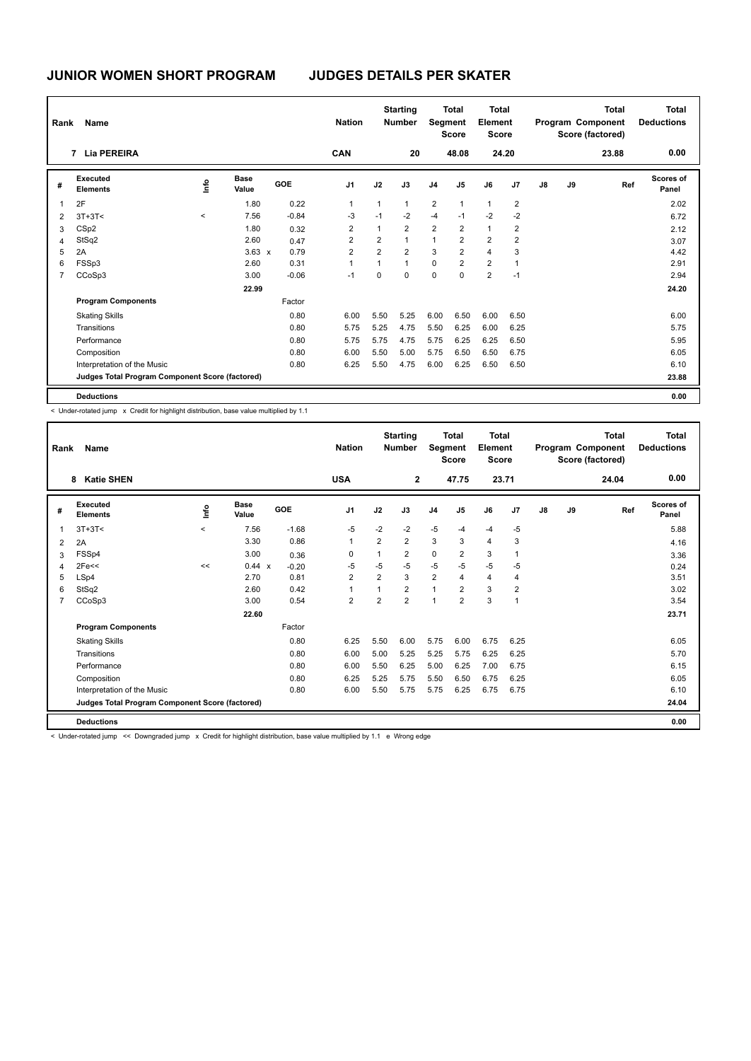# **JUNIOR WOMEN SHORT PROGRAM JUDGES DETAILS PER SKATER**

| Rank           | Name                                            |         |                      |         | <b>Nation</b>  |                | <b>Starting</b><br><b>Number</b> | Segment        | <b>Total</b><br><b>Score</b> | <b>Total</b><br>Element<br><b>Score</b> |                |    |    | <b>Total</b><br>Program Component<br>Score (factored) | <b>Total</b><br><b>Deductions</b> |
|----------------|-------------------------------------------------|---------|----------------------|---------|----------------|----------------|----------------------------------|----------------|------------------------------|-----------------------------------------|----------------|----|----|-------------------------------------------------------|-----------------------------------|
|                | 7 Lia PEREIRA                                   |         |                      |         | <b>CAN</b>     |                | 20                               |                | 48.08                        |                                         | 24.20          |    |    | 23.88                                                 | 0.00                              |
| #              | Executed<br><b>Elements</b>                     | lnfo    | <b>Base</b><br>Value | GOE     | J <sub>1</sub> | J2             | J3                               | J <sub>4</sub> | J5                           | J6                                      | J <sub>7</sub> | J8 | J9 | Ref                                                   | Scores of<br>Panel                |
| $\overline{1}$ | 2F                                              |         | 1.80                 | 0.22    | 1              | 1              | $\mathbf{1}$                     | $\overline{2}$ | $\mathbf{1}$                 | $\mathbf{1}$                            | $\overline{2}$ |    |    |                                                       | 2.02                              |
| $\overline{2}$ | $3T+3T<$                                        | $\prec$ | 7.56                 | $-0.84$ | -3             | $-1$           | $-2$                             | $-4$           | $-1$                         | $-2$                                    | $-2$           |    |    |                                                       | 6.72                              |
| 3              | CS <sub>p2</sub>                                |         | 1.80                 | 0.32    | $\overline{2}$ | $\overline{1}$ | $\overline{2}$                   | $\overline{2}$ | $\overline{2}$               | $\mathbf{1}$                            | $\overline{2}$ |    |    |                                                       | 2.12                              |
| $\overline{4}$ | StSq2                                           |         | 2.60                 | 0.47    | 2              | $\overline{2}$ | $\mathbf{1}$                     | $\mathbf{1}$   | $\overline{2}$               | $\overline{2}$                          | $\overline{2}$ |    |    |                                                       | 3.07                              |
| 5              | 2A                                              |         | $3.63 \times$        | 0.79    | $\overline{2}$ | $\overline{2}$ | $\overline{2}$                   | 3              | $\overline{2}$               | $\overline{4}$                          | 3              |    |    |                                                       | 4.42                              |
| 6              | FSSp3                                           |         | 2.60                 | 0.31    | 1              | 1              | $\mathbf{1}$                     | $\mathbf 0$    | $\overline{2}$               | $\overline{2}$                          | 1              |    |    |                                                       | 2.91                              |
| $\overline{7}$ | CCoSp3                                          |         | 3.00                 | $-0.06$ | $-1$           | 0              | $\Omega$                         | $\mathbf 0$    | $\mathbf 0$                  | $\overline{2}$                          | $-1$           |    |    |                                                       | 2.94                              |
|                |                                                 |         | 22.99                |         |                |                |                                  |                |                              |                                         |                |    |    |                                                       | 24.20                             |
|                | <b>Program Components</b>                       |         |                      | Factor  |                |                |                                  |                |                              |                                         |                |    |    |                                                       |                                   |
|                | <b>Skating Skills</b>                           |         |                      | 0.80    | 6.00           | 5.50           | 5.25                             | 6.00           | 6.50                         | 6.00                                    | 6.50           |    |    |                                                       | 6.00                              |
|                | Transitions                                     |         |                      | 0.80    | 5.75           | 5.25           | 4.75                             | 5.50           | 6.25                         | 6.00                                    | 6.25           |    |    |                                                       | 5.75                              |
|                | Performance                                     |         |                      | 0.80    | 5.75           | 5.75           | 4.75                             | 5.75           | 6.25                         | 6.25                                    | 6.50           |    |    |                                                       | 5.95                              |
|                | Composition                                     |         |                      | 0.80    | 6.00           | 5.50           | 5.00                             | 5.75           | 6.50                         | 6.50                                    | 6.75           |    |    |                                                       | 6.05                              |
|                | Interpretation of the Music                     |         |                      | 0.80    | 6.25           | 5.50           | 4.75                             | 6.00           | 6.25                         | 6.50                                    | 6.50           |    |    |                                                       | 6.10                              |
|                | Judges Total Program Component Score (factored) |         |                      |         |                |                |                                  |                |                              |                                         |                |    |    |                                                       | 23.88                             |
|                | <b>Deductions</b>                               |         |                      |         |                |                |                                  |                |                              |                                         |                |    |    |                                                       | 0.00                              |

< Under-rotated jump x Credit for highlight distribution, base value multiplied by 1.1

| Rank           | Name                                                                                                                   |         |                      |         | <b>Nation</b>  |                | <b>Starting</b><br><b>Number</b> | <b>Segment</b> | <b>Total</b><br><b>Score</b> | Total<br>Element<br><b>Score</b> |                |               |    | <b>Total</b><br>Program Component<br>Score (factored) | Total<br><b>Deductions</b> |
|----------------|------------------------------------------------------------------------------------------------------------------------|---------|----------------------|---------|----------------|----------------|----------------------------------|----------------|------------------------------|----------------------------------|----------------|---------------|----|-------------------------------------------------------|----------------------------|
|                | <b>Katie SHEN</b><br>8                                                                                                 |         |                      |         | <b>USA</b>     |                | $\overline{2}$                   |                | 47.75                        | 23.71                            |                |               |    | 24.04                                                 | 0.00                       |
| #              | Executed<br><b>Elements</b>                                                                                            | ١nfo    | <b>Base</b><br>Value | GOE     | J <sub>1</sub> | J2             | J3                               | J <sub>4</sub> | J <sub>5</sub>               | J6                               | J <sub>7</sub> | $\mathsf{J}8$ | J9 | Ref                                                   | Scores of<br>Panel         |
| $\overline{1}$ | $3T+3T<$                                                                                                               | $\prec$ | 7.56                 | $-1.68$ | $-5$           | $-2$           | $-2$                             | $-5$           | $-4$                         | $-4$                             | $-5$           |               |    |                                                       | 5.88                       |
| 2              | 2A                                                                                                                     |         | 3.30                 | 0.86    | $\mathbf{1}$   | $\overline{2}$ | $\overline{2}$                   | 3              | 3                            | 4                                | 3              |               |    |                                                       | 4.16                       |
| 3              | FSSp4                                                                                                                  |         | 3.00                 | 0.36    | 0              | $\mathbf{1}$   | $\overline{2}$                   | $\mathbf 0$    | $\overline{2}$               | 3                                | $\overline{1}$ |               |    |                                                       | 3.36                       |
| 4              | 2Fe<                                                                                                                   | <<      | 0.44 x               | $-0.20$ | $-5$           | $-5$           | $-5$                             | $-5$           | $-5$                         | $-5$                             | $-5$           |               |    |                                                       | 0.24                       |
| 5              | LSp4                                                                                                                   |         | 2.70                 | 0.81    | $\overline{2}$ | $\overline{2}$ | 3                                | $\overline{2}$ | 4                            | $\overline{\mathbf{4}}$          | 4              |               |    |                                                       | 3.51                       |
| 6              | StSq2                                                                                                                  |         | 2.60                 | 0.42    | $\overline{1}$ | 1              | $\overline{2}$                   | $\mathbf{1}$   | $\overline{2}$               | 3                                | $\overline{2}$ |               |    |                                                       | 3.02                       |
| $\overline{7}$ | CCoSp3                                                                                                                 |         | 3.00                 | 0.54    | $\overline{2}$ | $\overline{2}$ | $\overline{2}$                   | $\overline{1}$ | $\overline{2}$               | 3                                | $\overline{1}$ |               |    |                                                       | 3.54                       |
|                |                                                                                                                        |         | 22.60                |         |                |                |                                  |                |                              |                                  |                |               |    |                                                       | 23.71                      |
|                | <b>Program Components</b>                                                                                              |         |                      | Factor  |                |                |                                  |                |                              |                                  |                |               |    |                                                       |                            |
|                | <b>Skating Skills</b>                                                                                                  |         |                      | 0.80    | 6.25           | 5.50           | 6.00                             | 5.75           | 6.00                         | 6.75                             | 6.25           |               |    |                                                       | 6.05                       |
|                | Transitions                                                                                                            |         |                      | 0.80    | 6.00           | 5.00           | 5.25                             | 5.25           | 5.75                         | 6.25                             | 6.25           |               |    |                                                       | 5.70                       |
|                | Performance                                                                                                            |         |                      | 0.80    | 6.00           | 5.50           | 6.25                             | 5.00           | 6.25                         | 7.00                             | 6.75           |               |    |                                                       | 6.15                       |
|                | Composition                                                                                                            |         |                      | 0.80    | 6.25           | 5.25           | 5.75                             | 5.50           | 6.50                         | 6.75                             | 6.25           |               |    |                                                       | 6.05                       |
|                | Interpretation of the Music                                                                                            |         |                      | 0.80    | 6.00           | 5.50           | 5.75                             | 5.75           | 6.25                         | 6.75                             | 6.75           |               |    |                                                       | 6.10                       |
|                | Judges Total Program Component Score (factored)                                                                        |         |                      |         |                |                |                                  |                |                              |                                  |                |               |    |                                                       | 24.04                      |
|                | <b>Deductions</b>                                                                                                      |         |                      |         |                |                |                                  |                |                              |                                  |                |               |    |                                                       | 0.00                       |
|                | < Under-rotated jump << Downgraded jump x Credit for highlight distribution, base value multiplied by 1.1 e Wrong edge |         |                      |         |                |                |                                  |                |                              |                                  |                |               |    |                                                       |                            |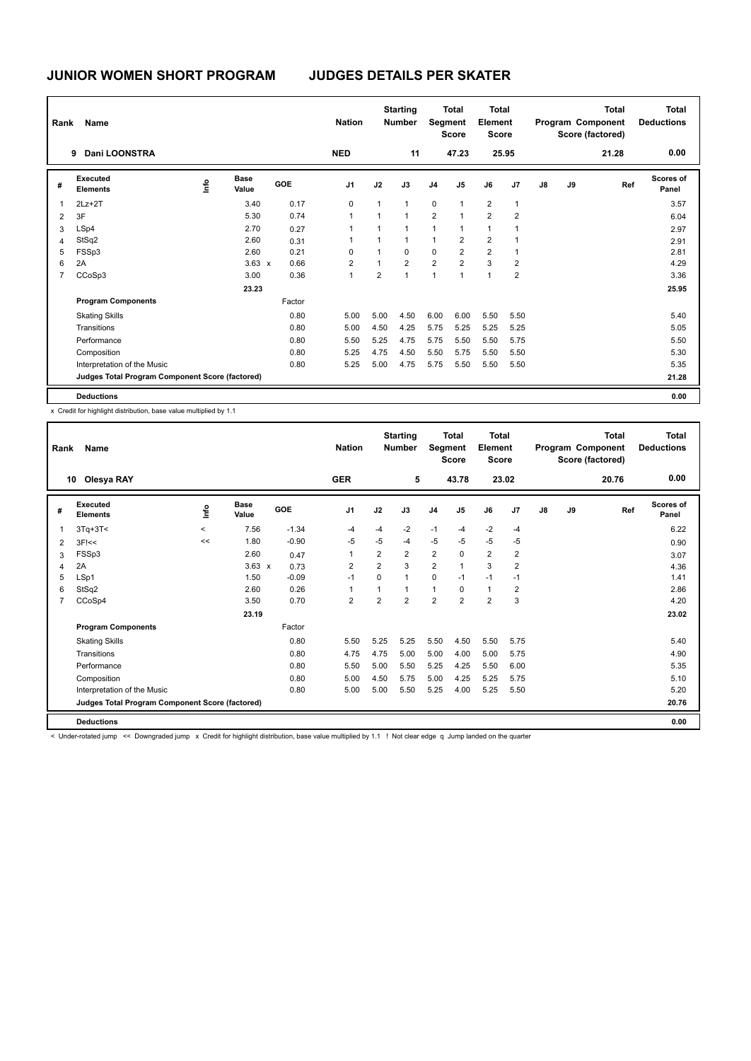| Rank           | Name                                            |      |                      |        | <b>Nation</b>  |              | <b>Starting</b><br><b>Number</b> |                | <b>Total</b><br>Segment<br><b>Score</b> | <b>Total</b><br>Element<br><b>Score</b> |                |               |    | <b>Total</b><br>Program Component<br>Score (factored) | <b>Total</b><br><b>Deductions</b> |
|----------------|-------------------------------------------------|------|----------------------|--------|----------------|--------------|----------------------------------|----------------|-----------------------------------------|-----------------------------------------|----------------|---------------|----|-------------------------------------------------------|-----------------------------------|
|                | Dani LOONSTRA<br>9                              |      |                      |        | <b>NED</b>     |              | 11                               |                | 47.23                                   |                                         | 25.95          |               |    | 21.28                                                 | 0.00                              |
| #              | Executed<br><b>Elements</b>                     | ١mfo | <b>Base</b><br>Value | GOE    | J <sub>1</sub> | J2           | J3                               | J <sub>4</sub> | J5                                      | J6                                      | J7             | $\mathsf{J}8$ | J9 | Ref                                                   | <b>Scores of</b><br>Panel         |
| 1              | $2Lz+2T$                                        |      | 3.40                 | 0.17   | 0              | $\mathbf{1}$ | $\overline{1}$                   | $\mathbf 0$    | $\mathbf{1}$                            | $\overline{2}$                          | $\mathbf{1}$   |               |    |                                                       | 3.57                              |
| 2              | 3F                                              |      | 5.30                 | 0.74   | 1              | 1            | $\overline{1}$                   | $\overline{2}$ | $\mathbf{1}$                            | $\overline{2}$                          | $\overline{2}$ |               |    |                                                       | 6.04                              |
| 3              | LSp4                                            |      | 2.70                 | 0.27   | $\mathbf{1}$   | 1            | $\overline{1}$                   | $\mathbf{1}$   | 1                                       | $\overline{1}$                          |                |               |    |                                                       | 2.97                              |
| $\overline{4}$ | StSq2                                           |      | 2.60                 | 0.31   |                | 1            | $\overline{1}$                   | $\mathbf{1}$   | $\overline{2}$                          | $\overline{2}$                          | $\mathbf 1$    |               |    |                                                       | 2.91                              |
| 5              | FSSp3                                           |      | 2.60                 | 0.21   | 0              | $\mathbf{1}$ | $\mathbf 0$                      | $\mathbf 0$    | $\overline{2}$                          | $\overline{2}$                          | $\mathbf 1$    |               |    |                                                       | 2.81                              |
| 6              | 2A                                              |      | $3.63 \times$        | 0.66   | $\overline{2}$ | 1            | $\overline{2}$                   | $\overline{2}$ | $\overline{2}$                          | 3                                       | $\overline{2}$ |               |    |                                                       | 4.29                              |
| $\overline{7}$ | CCoSp3                                          |      | 3.00                 | 0.36   | $\overline{1}$ | 2            | $\overline{1}$                   | $\overline{1}$ | $\overline{1}$                          | $\overline{1}$                          | $\overline{2}$ |               |    |                                                       | 3.36                              |
|                |                                                 |      | 23.23                |        |                |              |                                  |                |                                         |                                         |                |               |    |                                                       | 25.95                             |
|                | <b>Program Components</b>                       |      |                      | Factor |                |              |                                  |                |                                         |                                         |                |               |    |                                                       |                                   |
|                | <b>Skating Skills</b>                           |      |                      | 0.80   | 5.00           | 5.00         | 4.50                             | 6.00           | 6.00                                    | 5.50                                    | 5.50           |               |    |                                                       | 5.40                              |
|                | Transitions                                     |      |                      | 0.80   | 5.00           | 4.50         | 4.25                             | 5.75           | 5.25                                    | 5.25                                    | 5.25           |               |    |                                                       | 5.05                              |
|                | Performance                                     |      |                      | 0.80   | 5.50           | 5.25         | 4.75                             | 5.75           | 5.50                                    | 5.50                                    | 5.75           |               |    |                                                       | 5.50                              |
|                | Composition                                     |      |                      | 0.80   | 5.25           | 4.75         | 4.50                             | 5.50           | 5.75                                    | 5.50                                    | 5.50           |               |    |                                                       | 5.30                              |
|                | Interpretation of the Music                     |      |                      | 0.80   | 5.25           | 5.00         | 4.75                             | 5.75           | 5.50                                    | 5.50                                    | 5.50           |               |    |                                                       | 5.35                              |
|                | Judges Total Program Component Score (factored) |      |                      |        |                |              |                                  |                |                                         |                                         |                |               |    |                                                       | 21.28                             |
|                | <b>Deductions</b>                               |      |                      |        |                |              |                                  |                |                                         |                                         |                |               |    |                                                       | 0.00                              |

x Credit for highlight distribution, base value multiplied by 1.1

| Rank           | Name                                                                                                                                                    |          |                      |         | <b>Nation</b>  |                | <b>Starting</b><br><b>Number</b> | Segment        | <b>Total</b><br><b>Score</b> | <b>Total</b><br>Element<br><b>Score</b> |                |               |    | <b>Total</b><br>Program Component<br>Score (factored) | Total<br><b>Deductions</b> |
|----------------|---------------------------------------------------------------------------------------------------------------------------------------------------------|----------|----------------------|---------|----------------|----------------|----------------------------------|----------------|------------------------------|-----------------------------------------|----------------|---------------|----|-------------------------------------------------------|----------------------------|
| 10             | Olesya RAY                                                                                                                                              |          |                      |         | <b>GER</b>     |                | 5                                |                | 43.78                        |                                         | 23.02          |               |    | 20.76                                                 | 0.00                       |
| #              | Executed<br><b>Elements</b>                                                                                                                             | ۴ů       | <b>Base</b><br>Value | GOE     | J <sub>1</sub> | J2             | J3                               | J <sub>4</sub> | J <sub>5</sub>               | J6                                      | J <sub>7</sub> | $\mathsf{J}8$ | J9 | Ref                                                   | <b>Scores of</b><br>Panel  |
| $\overline{1}$ | $3Tq+3T<$                                                                                                                                               | $\hat{}$ | 7.56                 | $-1.34$ | $-4$           | -4             | $-2$                             | $-1$           | $-4$                         | $-2$                                    | $-4$           |               |    |                                                       | 6.22                       |
| $\overline{2}$ | $3F$ $<<$                                                                                                                                               | <<       | 1.80                 | $-0.90$ | $-5$           | $-5$           | -4                               | $-5$           | $-5$                         | $-5$                                    | $-5$           |               |    |                                                       | 0.90                       |
| 3              | FSSp3                                                                                                                                                   |          | 2.60                 | 0.47    | $\overline{1}$ | $\overline{2}$ | 2                                | $\overline{2}$ | $\mathbf 0$                  | $\overline{2}$                          | $\overline{2}$ |               |    |                                                       | 3.07                       |
| $\overline{4}$ | 2A                                                                                                                                                      |          | $3.63 \times$        | 0.73    | $\overline{2}$ | $\overline{2}$ | 3                                | $\overline{2}$ | $\mathbf{1}$                 | 3                                       | $\overline{2}$ |               |    |                                                       | 4.36                       |
| 5              | LSp1                                                                                                                                                    |          | 1.50                 | $-0.09$ | $-1$           | $\Omega$       | $\overline{1}$                   | $\mathbf 0$    | $-1$                         | $-1$                                    | $-1$           |               |    |                                                       | 1.41                       |
| 6              | StSq2                                                                                                                                                   |          | 2.60                 | 0.26    | $\overline{1}$ | $\mathbf{1}$   | $\mathbf{1}$                     | 1              | $\mathbf 0$                  | $\mathbf{1}$                            | $\overline{2}$ |               |    |                                                       | 2.86                       |
| $\overline{7}$ | CCoSp4                                                                                                                                                  |          | 3.50                 | 0.70    | $\overline{2}$ | $\overline{2}$ | $\overline{2}$                   | $\overline{2}$ | $\overline{2}$               | $\overline{2}$                          | 3              |               |    |                                                       | 4.20                       |
|                |                                                                                                                                                         |          | 23.19                |         |                |                |                                  |                |                              |                                         |                |               |    |                                                       | 23.02                      |
|                | <b>Program Components</b>                                                                                                                               |          |                      | Factor  |                |                |                                  |                |                              |                                         |                |               |    |                                                       |                            |
|                | <b>Skating Skills</b>                                                                                                                                   |          |                      | 0.80    | 5.50           | 5.25           | 5.25                             | 5.50           | 4.50                         | 5.50                                    | 5.75           |               |    |                                                       | 5.40                       |
|                | Transitions                                                                                                                                             |          |                      | 0.80    | 4.75           | 4.75           | 5.00                             | 5.00           | 4.00                         | 5.00                                    | 5.75           |               |    |                                                       | 4.90                       |
|                | Performance                                                                                                                                             |          |                      | 0.80    | 5.50           | 5.00           | 5.50                             | 5.25           | 4.25                         | 5.50                                    | 6.00           |               |    |                                                       | 5.35                       |
|                | Composition                                                                                                                                             |          |                      | 0.80    | 5.00           | 4.50           | 5.75                             | 5.00           | 4.25                         | 5.25                                    | 5.75           |               |    |                                                       | 5.10                       |
|                | Interpretation of the Music                                                                                                                             |          |                      | 0.80    | 5.00           | 5.00           | 5.50                             | 5.25           | 4.00                         | 5.25                                    | 5.50           |               |    |                                                       | 5.20                       |
|                | Judges Total Program Component Score (factored)                                                                                                         |          |                      |         |                |                |                                  |                |                              |                                         |                |               |    |                                                       | 20.76                      |
|                | <b>Deductions</b>                                                                                                                                       |          |                      |         |                |                |                                  |                |                              |                                         |                |               |    |                                                       | 0.00                       |
|                | < Under-rotated jump << Downgraded jump x Credit for highlight distribution, base value multiplied by 1.1 ! Not clear edge q Jump landed on the quarter |          |                      |         |                |                |                                  |                |                              |                                         |                |               |    |                                                       |                            |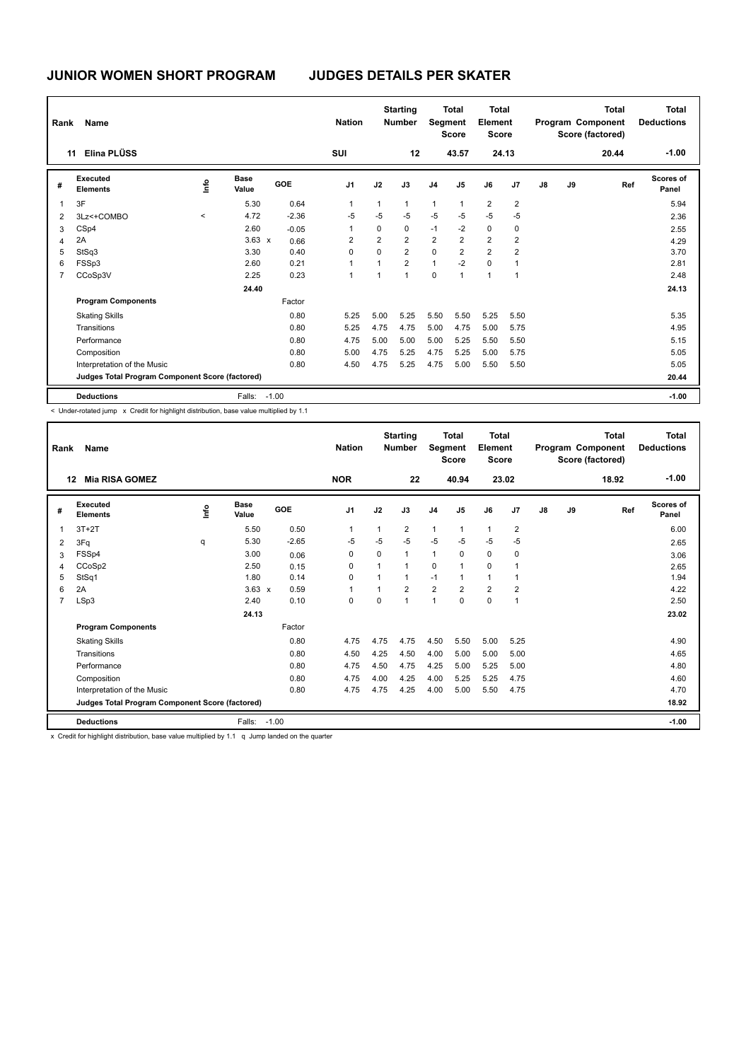| Rank           | Name                                            |       |                      |            | <b>Nation</b>  |                | <b>Starting</b><br><b>Number</b> | Segment        | <b>Total</b><br><b>Score</b> | <b>Total</b><br>Element<br><b>Score</b> |                |    |    | <b>Total</b><br>Program Component<br>Score (factored) | Total<br><b>Deductions</b> |
|----------------|-------------------------------------------------|-------|----------------------|------------|----------------|----------------|----------------------------------|----------------|------------------------------|-----------------------------------------|----------------|----|----|-------------------------------------------------------|----------------------------|
| 11             | Elina PLÜSS                                     |       |                      |            | SUI            |                | 12                               |                | 43.57                        |                                         | 24.13          |    |    | 20.44                                                 | $-1.00$                    |
| #              | Executed<br><b>Elements</b>                     | lnfo  | <b>Base</b><br>Value | <b>GOE</b> | J <sub>1</sub> | J2             | J3                               | J <sub>4</sub> | J5                           | J6                                      | J <sub>7</sub> | J8 | J9 | Ref                                                   | <b>Scores of</b><br>Panel  |
| $\overline{1}$ | 3F                                              |       | 5.30                 | 0.64       | 1              | 1              | $\mathbf{1}$                     | $\mathbf{1}$   | $\overline{1}$               | $\overline{2}$                          | $\overline{2}$ |    |    |                                                       | 5.94                       |
| $\overline{2}$ | 3Lz<+COMBO                                      | $\,<$ | 4.72                 | $-2.36$    | $-5$           | $-5$           | $-5$                             | $-5$           | $-5$                         | $-5$                                    | $-5$           |    |    |                                                       | 2.36                       |
| 3              | CSp4                                            |       | 2.60                 | $-0.05$    | 1              | 0              | 0                                | $-1$           | $-2$                         | $\mathbf 0$                             | $\mathbf 0$    |    |    |                                                       | 2.55                       |
| 4              | 2A                                              |       | $3.63 \times$        | 0.66       | $\overline{2}$ | $\overline{2}$ | $\overline{2}$                   | $\overline{2}$ | $\overline{2}$               | $\overline{2}$                          | 2              |    |    |                                                       | 4.29                       |
| 5              | StSq3                                           |       | 3.30                 | 0.40       | $\Omega$       | $\Omega$       | $\overline{2}$                   | $\Omega$       | $\overline{2}$               | $\overline{2}$                          | $\overline{2}$ |    |    |                                                       | 3.70                       |
| 6              | FSSp3                                           |       | 2.60                 | 0.21       | 1              | 1              | $\overline{2}$                   | $\mathbf{1}$   | $-2$                         | $\mathbf 0$                             | 1              |    |    |                                                       | 2.81                       |
| $\overline{7}$ | CCoSp3V                                         |       | 2.25                 | 0.23       | 1              | 1              | $\overline{1}$                   | $\Omega$       | $\overline{1}$               | $\mathbf{1}$                            | $\mathbf 1$    |    |    |                                                       | 2.48                       |
|                |                                                 |       | 24.40                |            |                |                |                                  |                |                              |                                         |                |    |    |                                                       | 24.13                      |
|                | <b>Program Components</b>                       |       |                      | Factor     |                |                |                                  |                |                              |                                         |                |    |    |                                                       |                            |
|                | <b>Skating Skills</b>                           |       |                      | 0.80       | 5.25           | 5.00           | 5.25                             | 5.50           | 5.50                         | 5.25                                    | 5.50           |    |    |                                                       | 5.35                       |
|                | Transitions                                     |       |                      | 0.80       | 5.25           | 4.75           | 4.75                             | 5.00           | 4.75                         | 5.00                                    | 5.75           |    |    |                                                       | 4.95                       |
|                | Performance                                     |       |                      | 0.80       | 4.75           | 5.00           | 5.00                             | 5.00           | 5.25                         | 5.50                                    | 5.50           |    |    |                                                       | 5.15                       |
|                | Composition                                     |       |                      | 0.80       | 5.00           | 4.75           | 5.25                             | 4.75           | 5.25                         | 5.00                                    | 5.75           |    |    |                                                       | 5.05                       |
|                | Interpretation of the Music                     |       |                      | 0.80       | 4.50           | 4.75           | 5.25                             | 4.75           | 5.00                         | 5.50                                    | 5.50           |    |    |                                                       | 5.05                       |
|                | Judges Total Program Component Score (factored) |       |                      |            |                |                |                                  |                |                              |                                         |                |    |    |                                                       | 20.44                      |
|                | <b>Deductions</b>                               |       | Falls:               | $-1.00$    |                |                |                                  |                |                              |                                         |                |    |    |                                                       | $-1.00$                    |

< Under-rotated jump x Credit for highlight distribution, base value multiplied by 1.1

| Rank           | Name                                            |    |                      |         | <b>Nation</b>  |          | <b>Starting</b><br><b>Number</b> | Segment        | <b>Total</b><br><b>Score</b> | Total<br>Element<br><b>Score</b> |                |               |    | <b>Total</b><br>Program Component<br>Score (factored) | Total<br><b>Deductions</b> |
|----------------|-------------------------------------------------|----|----------------------|---------|----------------|----------|----------------------------------|----------------|------------------------------|----------------------------------|----------------|---------------|----|-------------------------------------------------------|----------------------------|
|                | <b>Mia RISA GOMEZ</b><br>12                     |    |                      |         | <b>NOR</b>     |          | 22                               |                | 40.94                        |                                  | 23.02          |               |    | 18.92                                                 | $-1.00$                    |
| #              | Executed<br><b>Elements</b>                     | ۴ů | <b>Base</b><br>Value | GOE     | J <sub>1</sub> | J2       | J3                               | J <sub>4</sub> | J <sub>5</sub>               | J6                               | J7             | $\mathsf{J}8$ | J9 | Ref                                                   | Scores of<br>Panel         |
| 1              | $3T+2T$                                         |    | 5.50                 | 0.50    | 1              | 1        | $\overline{2}$                   | $\mathbf{1}$   | $\mathbf{1}$                 | $\mathbf{1}$                     | $\overline{2}$ |               |    |                                                       | 6.00                       |
| 2              | 3Fq                                             | q  | 5.30                 | $-2.65$ | -5             | $-5$     | $-5$                             | $-5$           | $-5$                         | $-5$                             | $-5$           |               |    |                                                       | 2.65                       |
| 3              | FSSp4                                           |    | 3.00                 | 0.06    | 0              | $\Omega$ | $\mathbf{1}$                     | $\mathbf{1}$   | 0                            | $\mathbf 0$                      | 0              |               |    |                                                       | 3.06                       |
| 4              | CCoSp2                                          |    | 2.50                 | 0.15    | 0              |          | $\mathbf{1}$                     | $\mathbf 0$    | $\overline{1}$               | $\mathbf 0$                      |                |               |    |                                                       | 2.65                       |
| 5              | StSq1                                           |    | 1.80                 | 0.14    | $\Omega$       |          | 1                                | $-1$           | 1                            | $\mathbf{1}$                     | -1             |               |    |                                                       | 1.94                       |
| 6              | 2A                                              |    | $3.63 \times$        | 0.59    | $\overline{1}$ |          | $\overline{2}$                   | $\overline{2}$ | $\overline{2}$               | $\overline{2}$                   | $\overline{2}$ |               |    |                                                       | 4.22                       |
| $\overline{7}$ | LSp3                                            |    | 2.40                 | 0.10    | 0              | $\Omega$ | $\mathbf{1}$                     | $\mathbf{1}$   | $\mathbf 0$                  | $\mathbf 0$                      | $\overline{1}$ |               |    |                                                       | 2.50                       |
|                |                                                 |    | 24.13                |         |                |          |                                  |                |                              |                                  |                |               |    |                                                       | 23.02                      |
|                | <b>Program Components</b>                       |    |                      | Factor  |                |          |                                  |                |                              |                                  |                |               |    |                                                       |                            |
|                | <b>Skating Skills</b>                           |    |                      | 0.80    | 4.75           | 4.75     | 4.75                             | 4.50           | 5.50                         | 5.00                             | 5.25           |               |    |                                                       | 4.90                       |
|                | Transitions                                     |    |                      | 0.80    | 4.50           | 4.25     | 4.50                             | 4.00           | 5.00                         | 5.00                             | 5.00           |               |    |                                                       | 4.65                       |
|                | Performance                                     |    |                      | 0.80    | 4.75           | 4.50     | 4.75                             | 4.25           | 5.00                         | 5.25                             | 5.00           |               |    |                                                       | 4.80                       |
|                | Composition                                     |    |                      | 0.80    | 4.75           | 4.00     | 4.25                             | 4.00           | 5.25                         | 5.25                             | 4.75           |               |    |                                                       | 4.60                       |
|                | Interpretation of the Music                     |    |                      | 0.80    | 4.75           | 4.75     | 4.25                             | 4.00           | 5.00                         | 5.50                             | 4.75           |               |    |                                                       | 4.70                       |
|                | Judges Total Program Component Score (factored) |    |                      |         |                |          |                                  |                |                              |                                  |                |               |    |                                                       | 18.92                      |
|                | <b>Deductions</b>                               |    | Falls: -1.00         |         |                |          |                                  |                |                              |                                  |                |               |    |                                                       | $-1.00$                    |
|                | <b>A PLATTLE LETTER OF A 2012 RM</b>            |    |                      |         |                |          |                                  |                |                              |                                  |                |               |    |                                                       |                            |

x Credit for highlight distribution, base value multiplied by 1.1 q Jump landed on the quarter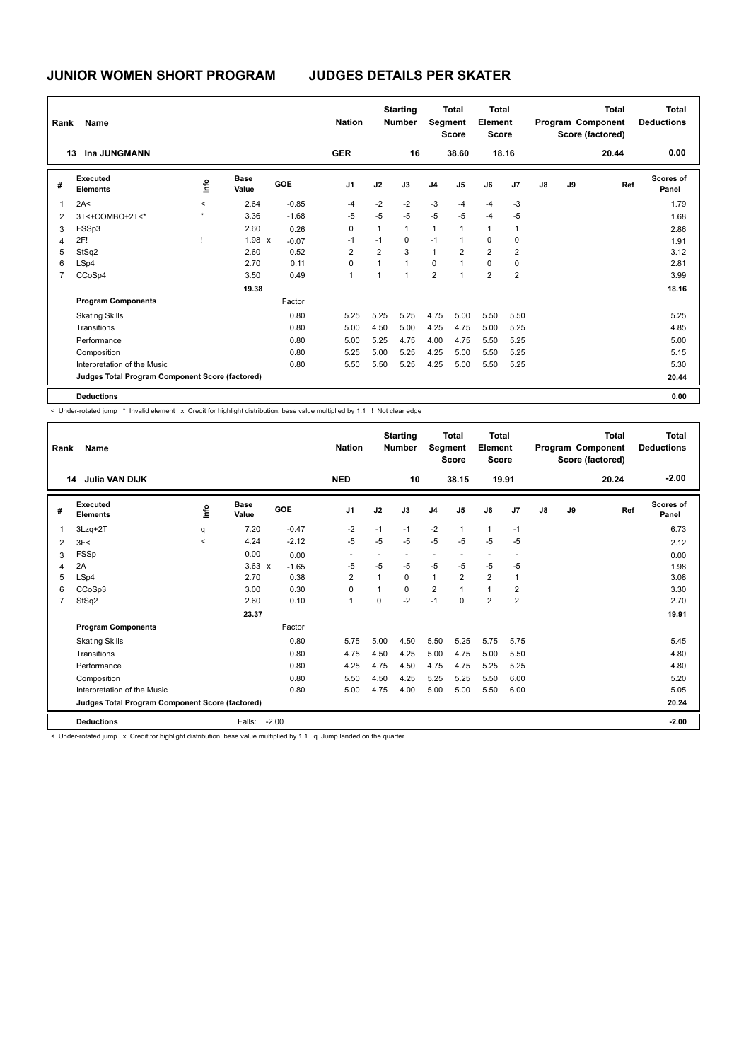| Rank | Name                                            |         |                      |            | <b>Nation</b>  |                | <b>Starting</b><br><b>Number</b> | Segment        | <b>Total</b><br><b>Score</b> | Total<br>Element<br><b>Score</b> |                |    |    | <b>Total</b><br>Program Component<br>Score (factored) | <b>Total</b><br><b>Deductions</b> |
|------|-------------------------------------------------|---------|----------------------|------------|----------------|----------------|----------------------------------|----------------|------------------------------|----------------------------------|----------------|----|----|-------------------------------------------------------|-----------------------------------|
|      | Ina JUNGMANN<br>13                              |         |                      |            | <b>GER</b>     |                | 16                               |                | 38.60                        |                                  | 18.16          |    |    | 20.44                                                 | 0.00                              |
| #    | Executed<br><b>Elements</b>                     | ١f      | <b>Base</b><br>Value | <b>GOE</b> | J <sub>1</sub> | J2             | J3                               | J <sub>4</sub> | J <sub>5</sub>               | J6                               | J <sub>7</sub> | J8 | J9 | Ref                                                   | <b>Scores of</b><br>Panel         |
| 1    | 2A<                                             | $\prec$ | 2.64                 | $-0.85$    | $-4$           | $-2$           | $-2$                             | $-3$           | $-4$                         | $-4$                             | $-3$           |    |    |                                                       | 1.79                              |
| 2    | 3T<+COMBO+2T<*                                  | $\star$ | 3.36                 | $-1.68$    | $-5$           | -5             | $-5$                             | $-5$           | $-5$                         | $-4$                             | -5             |    |    |                                                       | 1.68                              |
| 3    | FSSp3                                           |         | 2.60                 | 0.26       | 0              | $\mathbf{1}$   | $\mathbf{1}$                     | $\mathbf{1}$   | $\overline{1}$               | $\mathbf{1}$                     | 1              |    |    |                                                       | 2.86                              |
| 4    | 2F!                                             |         | 1.98 x               | $-0.07$    | $-1$           | $-1$           | $\mathbf 0$                      | $-1$           | $\overline{1}$               | $\mathbf 0$                      | $\mathbf 0$    |    |    |                                                       | 1.91                              |
| 5    | StSq2                                           |         | 2.60                 | 0.52       | 2              | $\overline{2}$ | 3                                | $\mathbf{1}$   | $\overline{2}$               | $\overline{2}$                   | $\overline{2}$ |    |    |                                                       | 3.12                              |
| 6    | LSp4                                            |         | 2.70                 | 0.11       | 0              | 1              | $\mathbf{1}$                     | 0              | 1                            | 0                                | 0              |    |    |                                                       | 2.81                              |
|      | CCoSp4                                          |         | 3.50                 | 0.49       | $\overline{1}$ | 1              | $\overline{1}$                   | $\overline{2}$ | 1                            | $\overline{2}$                   | 2              |    |    |                                                       | 3.99                              |
|      |                                                 |         | 19.38                |            |                |                |                                  |                |                              |                                  |                |    |    |                                                       | 18.16                             |
|      | <b>Program Components</b>                       |         |                      | Factor     |                |                |                                  |                |                              |                                  |                |    |    |                                                       |                                   |
|      | <b>Skating Skills</b>                           |         |                      | 0.80       | 5.25           | 5.25           | 5.25                             | 4.75           | 5.00                         | 5.50                             | 5.50           |    |    |                                                       | 5.25                              |
|      | Transitions                                     |         |                      | 0.80       | 5.00           | 4.50           | 5.00                             | 4.25           | 4.75                         | 5.00                             | 5.25           |    |    |                                                       | 4.85                              |
|      | Performance                                     |         |                      | 0.80       | 5.00           | 5.25           | 4.75                             | 4.00           | 4.75                         | 5.50                             | 5.25           |    |    |                                                       | 5.00                              |
|      | Composition                                     |         |                      | 0.80       | 5.25           | 5.00           | 5.25                             | 4.25           | 5.00                         | 5.50                             | 5.25           |    |    |                                                       | 5.15                              |
|      | Interpretation of the Music                     |         |                      | 0.80       | 5.50           | 5.50           | 5.25                             | 4.25           | 5.00                         | 5.50                             | 5.25           |    |    |                                                       | 5.30                              |
|      | Judges Total Program Component Score (factored) |         |                      |            |                |                |                                  |                |                              |                                  |                |    |    |                                                       | 20.44                             |
|      | <b>Deductions</b>                               |         |                      |            |                |                |                                  |                |                              |                                  |                |    |    |                                                       | 0.00                              |

< Under-rotated jump \* Invalid element x Credit for highlight distribution, base value multiplied by 1.1 ! Not clear edge

| Rank           | <b>Name</b>                                     |         |               |            | <b>Nation</b>  |                | <b>Starting</b><br><b>Number</b> | Segment        | <b>Total</b><br><b>Score</b> | <b>Total</b><br>Element<br><b>Score</b> |                |               |    | <b>Total</b><br>Program Component<br>Score (factored) | <b>Total</b><br><b>Deductions</b> |
|----------------|-------------------------------------------------|---------|---------------|------------|----------------|----------------|----------------------------------|----------------|------------------------------|-----------------------------------------|----------------|---------------|----|-------------------------------------------------------|-----------------------------------|
|                | <b>Julia VAN DIJK</b><br>14                     |         |               |            | <b>NED</b>     |                | 10                               |                | 38.15                        |                                         | 19.91          |               |    | 20.24                                                 | $-2.00$                           |
| #              | Executed<br><b>Elements</b>                     | ۴ů      | Base<br>Value | <b>GOE</b> | J <sub>1</sub> | J2             | J3                               | J <sub>4</sub> | J5                           | J6                                      | J7             | $\mathsf{J}8$ | J9 | Ref                                                   | Scores of<br>Panel                |
| $\overline{1}$ | $3Lzq+2T$                                       | q       | 7.20          | $-0.47$    | $-2$           | $-1$           | $-1$                             | $-2$           | $\mathbf{1}$                 | $\mathbf{1}$                            | $-1$           |               |    |                                                       | 6.73                              |
| $\overline{2}$ | 3F<                                             | $\prec$ | 4.24          | $-2.12$    | $-5$           | $-5$           | $-5$                             | $-5$           | $-5$                         | $-5$                                    | $-5$           |               |    |                                                       | 2.12                              |
| 3              | FSSp                                            |         | 0.00          | 0.00       |                |                |                                  |                |                              | $\blacksquare$                          |                |               |    |                                                       | 0.00                              |
| $\overline{4}$ | 2A                                              |         | $3.63 \times$ | $-1.65$    | $-5$           | $-5$           | $-5$                             | $-5$           | $-5$                         | $-5$                                    | $-5$           |               |    |                                                       | 1.98                              |
| 5              | LSp4                                            |         | 2.70          | 0.38       | $\overline{2}$ | $\mathbf{1}$   | $\mathbf 0$                      | $\mathbf{1}$   | $\overline{2}$               | $\overline{2}$                          | 1              |               |    |                                                       | 3.08                              |
| 6              | CCoSp3                                          |         | 3.00          | 0.30       | $\Omega$       | $\overline{1}$ | $\Omega$                         | $\overline{2}$ | $\overline{1}$               | $\mathbf{1}$                            | $\overline{2}$ |               |    |                                                       | 3.30                              |
| $\overline{7}$ | StSq2                                           |         | 2.60          | 0.10       | $\overline{1}$ | $\Omega$       | $-2$                             | $-1$           | $\Omega$                     | $\overline{2}$                          | $\overline{2}$ |               |    |                                                       | 2.70                              |
|                |                                                 |         | 23.37         |            |                |                |                                  |                |                              |                                         |                |               |    |                                                       | 19.91                             |
|                | <b>Program Components</b>                       |         |               | Factor     |                |                |                                  |                |                              |                                         |                |               |    |                                                       |                                   |
|                | <b>Skating Skills</b>                           |         |               | 0.80       | 5.75           | 5.00           | 4.50                             | 5.50           | 5.25                         | 5.75                                    | 5.75           |               |    |                                                       | 5.45                              |
|                | Transitions                                     |         |               | 0.80       | 4.75           | 4.50           | 4.25                             | 5.00           | 4.75                         | 5.00                                    | 5.50           |               |    |                                                       | 4.80                              |
|                | Performance                                     |         |               | 0.80       | 4.25           | 4.75           | 4.50                             | 4.75           | 4.75                         | 5.25                                    | 5.25           |               |    |                                                       | 4.80                              |
|                | Composition                                     |         |               | 0.80       | 5.50           | 4.50           | 4.25                             | 5.25           | 5.25                         | 5.50                                    | 6.00           |               |    |                                                       | 5.20                              |
|                | Interpretation of the Music                     |         |               | 0.80       | 5.00           | 4.75           | 4.00                             | 5.00           | 5.00                         | 5.50                                    | 6.00           |               |    |                                                       | 5.05                              |
|                | Judges Total Program Component Score (factored) |         |               |            |                |                |                                  |                |                              |                                         |                |               |    |                                                       | 20.24                             |
|                | <b>Deductions</b>                               |         | Falls:        | $-2.00$    |                |                |                                  |                |                              |                                         |                |               |    |                                                       | $-2.00$                           |
|                | .<br>$\sim$                                     |         |               |            |                |                |                                  |                |                              |                                         |                |               |    |                                                       |                                   |

< Under-rotated jump x Credit for highlight distribution, base value multiplied by 1.1 q Jump landed on the quarter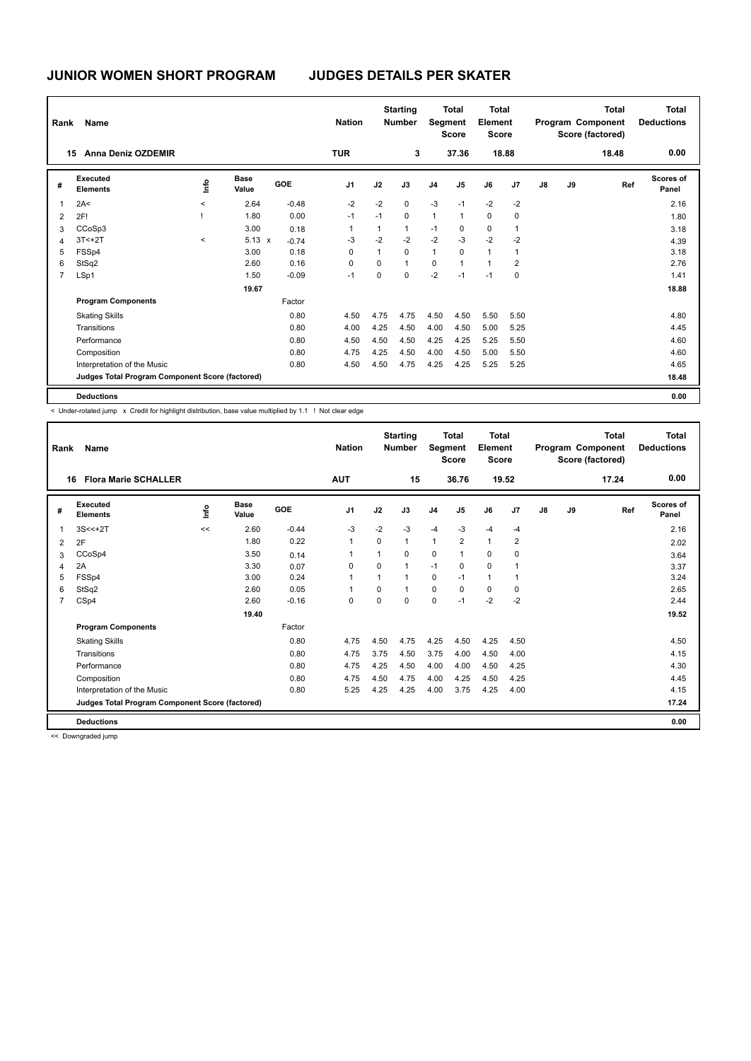| Rank           | Name                                            |          |                      |            | <b>Nation</b>  |      | <b>Starting</b><br><b>Number</b> |                | <b>Total</b><br>Segment<br><b>Score</b> | Total<br>Element<br><b>Score</b> |                |               |    | <b>Total</b><br>Program Component<br>Score (factored) | <b>Total</b><br><b>Deductions</b> |
|----------------|-------------------------------------------------|----------|----------------------|------------|----------------|------|----------------------------------|----------------|-----------------------------------------|----------------------------------|----------------|---------------|----|-------------------------------------------------------|-----------------------------------|
|                | Anna Deniz OZDEMIR<br>15                        |          |                      |            | <b>TUR</b>     |      | 3                                |                | 37.36                                   |                                  | 18.88          |               |    | 18.48                                                 | 0.00                              |
| #              | Executed<br><b>Elements</b>                     | ١m       | <b>Base</b><br>Value | <b>GOE</b> | J <sub>1</sub> | J2   | J3                               | J <sub>4</sub> | J <sub>5</sub>                          | J6                               | J <sub>7</sub> | $\mathsf{J}8$ | J9 | Ref                                                   | <b>Scores of</b><br>Panel         |
| $\overline{1}$ | 2A<                                             | $\hat{}$ | 2.64                 | $-0.48$    | $-2$           | $-2$ | 0                                | $-3$           | $-1$                                    | $-2$                             | $-2$           |               |    |                                                       | 2.16                              |
| $\overline{2}$ | 2F!                                             |          | 1.80                 | 0.00       | $-1$           | $-1$ | $\mathbf 0$                      | $\mathbf{1}$   | 1                                       | $\mathbf 0$                      | 0              |               |    |                                                       | 1.80                              |
| 3              | CCoSp3                                          |          | 3.00                 | 0.18       |                | 1    | $\mathbf{1}$                     | $-1$           | 0                                       | $\pmb{0}$                        |                |               |    |                                                       | 3.18                              |
| 4              | $3T < +2T$                                      | $\prec$  | $5.13 \times$        | $-0.74$    | $-3$           | $-2$ | $-2$                             | $-2$           | $-3$                                    | $-2$                             | $-2$           |               |    |                                                       | 4.39                              |
| 5              | FSSp4                                           |          | 3.00                 | 0.18       | 0              | 1    | $\mathbf 0$                      | $\mathbf{1}$   | 0                                       | $\mathbf{1}$                     |                |               |    |                                                       | 3.18                              |
| 6              | StSq2                                           |          | 2.60                 | 0.16       | 0              | 0    | $\mathbf{1}$                     | $\mathbf 0$    | $\mathbf{1}$                            | $\mathbf{1}$                     | 2              |               |    |                                                       | 2.76                              |
| 7              | LSp1                                            |          | 1.50                 | $-0.09$    | $-1$           | 0    | $\mathbf 0$                      | $-2$           | $-1$                                    | $-1$                             | 0              |               |    |                                                       | 1.41                              |
|                |                                                 |          | 19.67                |            |                |      |                                  |                |                                         |                                  |                |               |    |                                                       | 18.88                             |
|                | <b>Program Components</b>                       |          |                      | Factor     |                |      |                                  |                |                                         |                                  |                |               |    |                                                       |                                   |
|                | <b>Skating Skills</b>                           |          |                      | 0.80       | 4.50           | 4.75 | 4.75                             | 4.50           | 4.50                                    | 5.50                             | 5.50           |               |    |                                                       | 4.80                              |
|                | Transitions                                     |          |                      | 0.80       | 4.00           | 4.25 | 4.50                             | 4.00           | 4.50                                    | 5.00                             | 5.25           |               |    |                                                       | 4.45                              |
|                | Performance                                     |          |                      | 0.80       | 4.50           | 4.50 | 4.50                             | 4.25           | 4.25                                    | 5.25                             | 5.50           |               |    |                                                       | 4.60                              |
|                | Composition                                     |          |                      | 0.80       | 4.75           | 4.25 | 4.50                             | 4.00           | 4.50                                    | 5.00                             | 5.50           |               |    |                                                       | 4.60                              |
|                | Interpretation of the Music                     |          |                      | 0.80       | 4.50           | 4.50 | 4.75                             | 4.25           | 4.25                                    | 5.25                             | 5.25           |               |    |                                                       | 4.65                              |
|                | Judges Total Program Component Score (factored) |          |                      |            |                |      |                                  |                |                                         |                                  |                |               |    |                                                       | 18.48                             |
|                | <b>Deductions</b>                               |          |                      |            |                |      |                                  |                |                                         |                                  |                |               |    |                                                       | 0.00                              |

< Under-rotated jump x Credit for highlight distribution, base value multiplied by 1.1 ! Not clear edge

| Rank           | Name                                            |      |                      |         | <b>Nation</b>  |          | <b>Starting</b><br><b>Number</b> | Segment        | <b>Total</b><br><b>Score</b> | <b>Total</b><br>Element<br><b>Score</b> |                |    |    | <b>Total</b><br>Program Component<br>Score (factored) | <b>Total</b><br><b>Deductions</b> |
|----------------|-------------------------------------------------|------|----------------------|---------|----------------|----------|----------------------------------|----------------|------------------------------|-----------------------------------------|----------------|----|----|-------------------------------------------------------|-----------------------------------|
| 16             | <b>Flora Marie SCHALLER</b>                     |      |                      |         | <b>AUT</b>     |          | 15                               |                | 36.76                        |                                         | 19.52          |    |    | 17.24                                                 | 0.00                              |
| #              | Executed<br><b>Elements</b>                     | lnfo | <b>Base</b><br>Value | GOE     | J <sub>1</sub> | J2       | J3                               | J <sub>4</sub> | J <sub>5</sub>               | J6                                      | J <sub>7</sub> | J8 | J9 | Ref                                                   | <b>Scores of</b><br>Panel         |
| 1              | $3S < +2T$                                      | <<   | 2.60                 | $-0.44$ | $-3$           | $-2$     | $-3$                             | $-4$           | $-3$                         | $-4$                                    | $-4$           |    |    |                                                       | 2.16                              |
| 2              | 2F                                              |      | 1.80                 | 0.22    | $\overline{1}$ | $\Omega$ | 1                                | $\mathbf{1}$   | $\overline{2}$               | $\mathbf{1}$                            | $\overline{2}$ |    |    |                                                       | 2.02                              |
| 3              | CCoSp4                                          |      | 3.50                 | 0.14    | $\mathbf 1$    | 1        | $\Omega$                         | $\mathbf 0$    | 1                            | $\mathbf 0$                             | 0              |    |    |                                                       | 3.64                              |
| $\overline{4}$ | 2A                                              |      | 3.30                 | 0.07    | 0              | $\Omega$ | 1                                | $-1$           | 0                            | $\mathbf 0$                             | 1              |    |    |                                                       | 3.37                              |
| 5              | FSSp4                                           |      | 3.00                 | 0.24    | 1              | 1        | 1                                | 0              | $-1$                         | $\mathbf{1}$                            | -1             |    |    |                                                       | 3.24                              |
| 6              | StSq2                                           |      | 2.60                 | 0.05    |                | $\Omega$ | $\overline{1}$                   | $\mathbf 0$    | $\Omega$                     | $\mathbf 0$                             | 0              |    |    |                                                       | 2.65                              |
| $\overline{7}$ | CSp4                                            |      | 2.60                 | $-0.16$ | $\mathbf 0$    | $\Omega$ | $\Omega$                         | $\mathbf 0$    | $-1$                         | $-2$                                    | $-2$           |    |    |                                                       | 2.44                              |
|                |                                                 |      | 19.40                |         |                |          |                                  |                |                              |                                         |                |    |    |                                                       | 19.52                             |
|                | <b>Program Components</b>                       |      |                      | Factor  |                |          |                                  |                |                              |                                         |                |    |    |                                                       |                                   |
|                | <b>Skating Skills</b>                           |      |                      | 0.80    | 4.75           | 4.50     | 4.75                             | 4.25           | 4.50                         | 4.25                                    | 4.50           |    |    |                                                       | 4.50                              |
|                | Transitions                                     |      |                      | 0.80    | 4.75           | 3.75     | 4.50                             | 3.75           | 4.00                         | 4.50                                    | 4.00           |    |    |                                                       | 4.15                              |
|                | Performance                                     |      |                      | 0.80    | 4.75           | 4.25     | 4.50                             | 4.00           | 4.00                         | 4.50                                    | 4.25           |    |    |                                                       | 4.30                              |
|                | Composition                                     |      |                      | 0.80    | 4.75           | 4.50     | 4.75                             | 4.00           | 4.25                         | 4.50                                    | 4.25           |    |    |                                                       | 4.45                              |
|                | Interpretation of the Music                     |      |                      | 0.80    | 5.25           | 4.25     | 4.25                             | 4.00           | 3.75                         | 4.25                                    | 4.00           |    |    |                                                       | 4.15                              |
|                | Judges Total Program Component Score (factored) |      |                      |         |                |          |                                  |                |                              |                                         |                |    |    |                                                       | 17.24                             |
|                | <b>Deductions</b>                               |      |                      |         |                |          |                                  |                |                              |                                         |                |    |    |                                                       | 0.00                              |

<< Downgraded jump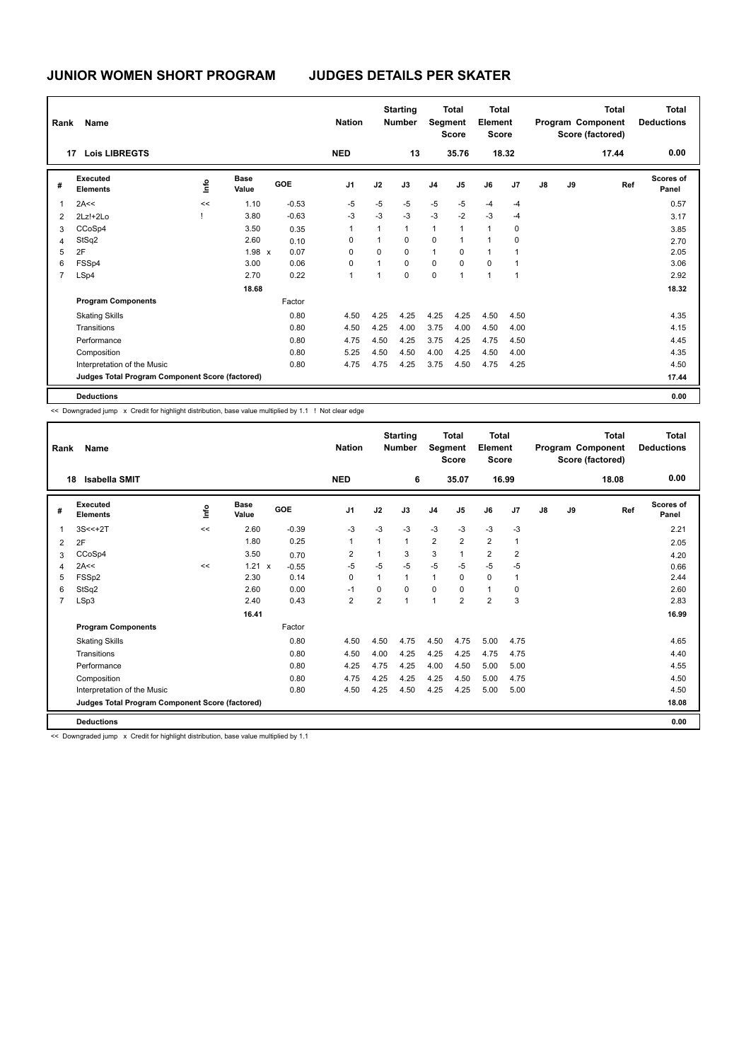| Rank           | Name                                            |      |                      |            | <b>Nation</b>  |                | <b>Starting</b><br><b>Number</b> | Segment        | <b>Total</b><br><b>Score</b> | Total<br>Element<br><b>Score</b> |                |               |    | <b>Total</b><br>Program Component<br>Score (factored) | Total<br><b>Deductions</b> |
|----------------|-------------------------------------------------|------|----------------------|------------|----------------|----------------|----------------------------------|----------------|------------------------------|----------------------------------|----------------|---------------|----|-------------------------------------------------------|----------------------------|
|                | <b>Lois LIBREGTS</b><br>17                      |      |                      |            | <b>NED</b>     |                | 13                               |                | 35.76                        |                                  | 18.32          |               |    | 17.44                                                 | 0.00                       |
| #              | Executed<br><b>Elements</b>                     | ١mfo | <b>Base</b><br>Value | <b>GOE</b> | J <sub>1</sub> | J2             | J3                               | J <sub>4</sub> | J5                           | J6                               | J <sub>7</sub> | $\mathsf{J}8$ | J9 | Ref                                                   | Scores of<br>Panel         |
| $\mathbf{1}$   | 2A<<                                            | <<   | 1.10                 | $-0.53$    | $-5$           | $-5$           | $-5$                             | $-5$           | $-5$                         | $-4$                             | $-4$           |               |    |                                                       | 0.57                       |
| 2              | 2Lz!+2Lo                                        |      | 3.80                 | $-0.63$    | $-3$           | $-3$           | $-3$                             | $-3$           | $-2$                         | $-3$                             | $-4$           |               |    |                                                       | 3.17                       |
| 3              | CCoSp4                                          |      | 3.50                 | 0.35       | 1              | $\mathbf{1}$   | $\mathbf{1}$                     | $\mathbf{1}$   | 1                            | $\mathbf{1}$                     | 0              |               |    |                                                       | 3.85                       |
| $\overline{4}$ | StSq2                                           |      | 2.60                 | 0.10       | 0              | 1              | 0                                | $\mathbf 0$    | 1                            | 1                                | 0              |               |    |                                                       | 2.70                       |
| 5              | 2F                                              |      | 1.98 x               | 0.07       | 0              | 0              | $\mathbf 0$                      | $\mathbf{1}$   | 0                            | $\overline{1}$                   | 1              |               |    |                                                       | 2.05                       |
| 6              | FSSp4                                           |      | 3.00                 | 0.06       | 0              | 1              | $\mathbf 0$                      | $\mathbf 0$    | 0                            | 0                                | 1              |               |    |                                                       | 3.06                       |
| $\overline{7}$ | LSp4                                            |      | 2.70                 | 0.22       | 1              | $\overline{1}$ | $\mathbf 0$                      | $\mathbf 0$    | 1                            | $\overline{1}$                   | $\mathbf{1}$   |               |    |                                                       | 2.92                       |
|                |                                                 |      | 18.68                |            |                |                |                                  |                |                              |                                  |                |               |    |                                                       | 18.32                      |
|                | <b>Program Components</b>                       |      |                      | Factor     |                |                |                                  |                |                              |                                  |                |               |    |                                                       |                            |
|                | <b>Skating Skills</b>                           |      |                      | 0.80       | 4.50           | 4.25           | 4.25                             | 4.25           | 4.25                         | 4.50                             | 4.50           |               |    |                                                       | 4.35                       |
|                | Transitions                                     |      |                      | 0.80       | 4.50           | 4.25           | 4.00                             | 3.75           | 4.00                         | 4.50                             | 4.00           |               |    |                                                       | 4.15                       |
|                | Performance                                     |      |                      | 0.80       | 4.75           | 4.50           | 4.25                             | 3.75           | 4.25                         | 4.75                             | 4.50           |               |    |                                                       | 4.45                       |
|                | Composition                                     |      |                      | 0.80       | 5.25           | 4.50           | 4.50                             | 4.00           | 4.25                         | 4.50                             | 4.00           |               |    |                                                       | 4.35                       |
|                | Interpretation of the Music                     |      |                      | 0.80       | 4.75           | 4.75           | 4.25                             | 3.75           | 4.50                         | 4.75                             | 4.25           |               |    |                                                       | 4.50                       |
|                | Judges Total Program Component Score (factored) |      |                      |            |                |                |                                  |                |                              |                                  |                |               |    |                                                       | 17.44                      |
|                | <b>Deductions</b>                               |      |                      |            |                |                |                                  |                |                              |                                  |                |               |    |                                                       | 0.00                       |

<< Downgraded jump x Credit for highlight distribution, base value multiplied by 1.1 ! Not clear edge

| Rank           | Name                                            |      |                      |         | <b>Nation</b>  |                | <b>Starting</b><br><b>Number</b> | Segment        | <b>Total</b><br><b>Score</b> | <b>Total</b><br>Element<br><b>Score</b> |                |    |    | <b>Total</b><br>Program Component<br>Score (factored) | <b>Total</b><br><b>Deductions</b> |
|----------------|-------------------------------------------------|------|----------------------|---------|----------------|----------------|----------------------------------|----------------|------------------------------|-----------------------------------------|----------------|----|----|-------------------------------------------------------|-----------------------------------|
| 18             | <b>Isabella SMIT</b>                            |      |                      |         | <b>NED</b>     |                | 6                                |                | 35.07                        | 16.99                                   |                |    |    | 18.08                                                 | 0.00                              |
| #              | Executed<br><b>Elements</b>                     | lnfo | <b>Base</b><br>Value | GOE     | J <sub>1</sub> | J2             | J3                               | J <sub>4</sub> | J5                           | J6                                      | J <sub>7</sub> | J8 | J9 | Ref                                                   | Scores of<br>Panel                |
| 1              | $3S < +2T$                                      | <<   | 2.60                 | $-0.39$ | -3             | $-3$           | $-3$                             | $-3$           | $-3$                         | $-3$                                    | $-3$           |    |    |                                                       | 2.21                              |
| 2              | 2F                                              |      | 1.80                 | 0.25    | $\overline{1}$ | 1              | $\mathbf{1}$                     | $\overline{2}$ | $\overline{2}$               | $\overline{2}$                          | $\overline{1}$ |    |    |                                                       | 2.05                              |
| 3              | CCoSp4                                          |      | 3.50                 | 0.70    | $\overline{2}$ | 1              | 3                                | 3              | 1                            | $\overline{2}$                          | $\overline{2}$ |    |    |                                                       | 4.20                              |
| $\overline{4}$ | 2A<<                                            | <<   | 1.21<br>$\mathsf{x}$ | $-0.55$ | $-5$           | $-5$           | $-5$                             | $-5$           | $-5$                         | $-5$                                    | $-5$           |    |    |                                                       | 0.66                              |
| 5              | FSSp2                                           |      | 2.30                 | 0.14    | 0              | 1              | $\mathbf{1}$                     | $\mathbf{1}$   | 0                            | $\mathbf 0$                             | -1             |    |    |                                                       | 2.44                              |
| 6              | StSq2                                           |      | 2.60                 | 0.00    | $-1$           | $\Omega$       | $\Omega$                         | 0              | $\Omega$                     | $\mathbf{1}$                            | 0              |    |    |                                                       | 2.60                              |
| $\overline{7}$ | LSp3                                            |      | 2.40                 | 0.43    | $\overline{2}$ | $\overline{2}$ | $\overline{1}$                   | $\mathbf{1}$   | $\overline{2}$               | $\overline{2}$                          | 3              |    |    |                                                       | 2.83                              |
|                |                                                 |      | 16.41                |         |                |                |                                  |                |                              |                                         |                |    |    |                                                       | 16.99                             |
|                | <b>Program Components</b>                       |      |                      | Factor  |                |                |                                  |                |                              |                                         |                |    |    |                                                       |                                   |
|                | <b>Skating Skills</b>                           |      |                      | 0.80    | 4.50           | 4.50           | 4.75                             | 4.50           | 4.75                         | 5.00                                    | 4.75           |    |    |                                                       | 4.65                              |
|                | Transitions                                     |      |                      | 0.80    | 4.50           | 4.00           | 4.25                             | 4.25           | 4.25                         | 4.75                                    | 4.75           |    |    |                                                       | 4.40                              |
|                | Performance                                     |      |                      | 0.80    | 4.25           | 4.75           | 4.25                             | 4.00           | 4.50                         | 5.00                                    | 5.00           |    |    |                                                       | 4.55                              |
|                | Composition                                     |      |                      | 0.80    | 4.75           | 4.25           | 4.25                             | 4.25           | 4.50                         | 5.00                                    | 4.75           |    |    |                                                       | 4.50                              |
|                | Interpretation of the Music                     |      |                      | 0.80    | 4.50           | 4.25           | 4.50                             | 4.25           | 4.25                         | 5.00                                    | 5.00           |    |    |                                                       | 4.50                              |
|                | Judges Total Program Component Score (factored) |      |                      |         |                |                |                                  |                |                              |                                         |                |    |    |                                                       | 18.08                             |
|                | <b>Deductions</b>                               |      |                      |         |                |                |                                  |                |                              |                                         |                |    |    |                                                       | 0.00                              |

<< Downgraded jump x Credit for highlight distribution, base value multiplied by 1.1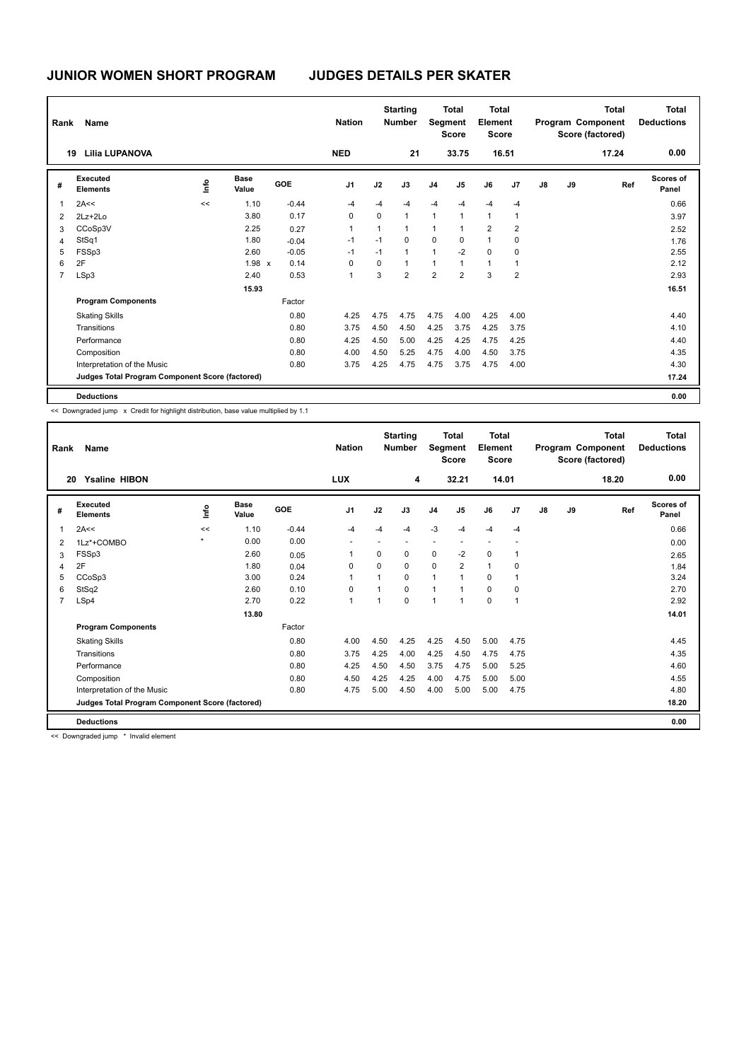| Rank           | Name                                            |    |                      |         | <b>Nation</b>  |                | <b>Starting</b><br><b>Number</b> |                | <b>Total</b><br>Segment<br><b>Score</b> | Total<br>Element<br><b>Score</b> |                |    |    | <b>Total</b><br>Program Component<br>Score (factored) | <b>Total</b><br><b>Deductions</b> |
|----------------|-------------------------------------------------|----|----------------------|---------|----------------|----------------|----------------------------------|----------------|-----------------------------------------|----------------------------------|----------------|----|----|-------------------------------------------------------|-----------------------------------|
|                | <b>Lilia LUPANOVA</b><br>19                     |    |                      |         | <b>NED</b>     |                | 21                               |                | 33.75                                   |                                  | 16.51          |    |    | 17.24                                                 | 0.00                              |
| #              | Executed<br><b>Elements</b>                     | ١π | <b>Base</b><br>Value | GOE     | J <sub>1</sub> | J2             | J3                               | J <sub>4</sub> | J <sub>5</sub>                          | J6                               | J7             | J8 | J9 | Ref                                                   | <b>Scores of</b><br>Panel         |
| 1              | 2A<<                                            | << | 1.10                 | $-0.44$ | $-4$           | $-4$           | $-4$                             | $-4$           | $-4$                                    | $-4$                             | $-4$           |    |    |                                                       | 0.66                              |
| 2              | $2Lz + 2Lo$                                     |    | 3.80                 | 0.17    | 0              | 0              | $\mathbf{1}$                     | $\mathbf{1}$   | $\mathbf{1}$                            | $\mathbf{1}$                     | 1              |    |    |                                                       | 3.97                              |
| 3              | CCoSp3V                                         |    | 2.25                 | 0.27    | 1              | $\overline{1}$ | $\mathbf{1}$                     | 1              | 1                                       | $\overline{2}$                   | $\overline{2}$ |    |    |                                                       | 2.52                              |
| $\overline{4}$ | StSq1                                           |    | 1.80                 | $-0.04$ | $-1$           | $-1$           | $\Omega$                         | 0              | 0                                       | 1                                | 0              |    |    |                                                       | 1.76                              |
| 5              | FSSp3                                           |    | 2.60                 | $-0.05$ | $-1$           | $-1$           | $\mathbf{1}$                     | 1              | $-2$                                    | 0                                | 0              |    |    |                                                       | 2.55                              |
| 6              | 2F                                              |    | 1.98 x               | 0.14    | 0              | 0              | $\mathbf{1}$                     | 1              | 1                                       | $\mathbf{1}$                     |                |    |    |                                                       | 2.12                              |
| $\overline{7}$ | LSp3                                            |    | 2.40                 | 0.53    | 1              | 3              | $\overline{2}$                   | $\overline{2}$ | $\overline{2}$                          | 3                                | $\overline{2}$ |    |    |                                                       | 2.93                              |
|                |                                                 |    | 15.93                |         |                |                |                                  |                |                                         |                                  |                |    |    |                                                       | 16.51                             |
|                | <b>Program Components</b>                       |    |                      | Factor  |                |                |                                  |                |                                         |                                  |                |    |    |                                                       |                                   |
|                | <b>Skating Skills</b>                           |    |                      | 0.80    | 4.25           | 4.75           | 4.75                             | 4.75           | 4.00                                    | 4.25                             | 4.00           |    |    |                                                       | 4.40                              |
|                | Transitions                                     |    |                      | 0.80    | 3.75           | 4.50           | 4.50                             | 4.25           | 3.75                                    | 4.25                             | 3.75           |    |    |                                                       | 4.10                              |
|                | Performance                                     |    |                      | 0.80    | 4.25           | 4.50           | 5.00                             | 4.25           | 4.25                                    | 4.75                             | 4.25           |    |    |                                                       | 4.40                              |
|                | Composition                                     |    |                      | 0.80    | 4.00           | 4.50           | 5.25                             | 4.75           | 4.00                                    | 4.50                             | 3.75           |    |    |                                                       | 4.35                              |
|                | Interpretation of the Music                     |    |                      | 0.80    | 3.75           | 4.25           | 4.75                             | 4.75           | 3.75                                    | 4.75                             | 4.00           |    |    |                                                       | 4.30                              |
|                | Judges Total Program Component Score (factored) |    |                      |         |                |                |                                  |                |                                         |                                  |                |    |    |                                                       | 17.24                             |
|                | <b>Deductions</b>                               |    |                      |         |                |                |                                  |                |                                         |                                  |                |    |    |                                                       | 0.00                              |

<< Downgraded jump x Credit for highlight distribution, base value multiplied by 1.1

| Rank           | Name                                            |              |                      |         | <b>Nation</b>  |                | <b>Starting</b><br><b>Number</b> | Segment        | <b>Total</b><br><b>Score</b> | Total<br>Element<br><b>Score</b> |                |    |    | <b>Total</b><br>Program Component<br>Score (factored) | <b>Total</b><br><b>Deductions</b> |
|----------------|-------------------------------------------------|--------------|----------------------|---------|----------------|----------------|----------------------------------|----------------|------------------------------|----------------------------------|----------------|----|----|-------------------------------------------------------|-----------------------------------|
|                | <b>Ysaline HIBON</b><br>20                      |              |                      |         | <b>LUX</b>     |                | 4                                |                | 32.21                        |                                  | 14.01          |    |    | 18.20                                                 | 0.00                              |
| #              | Executed<br><b>Elements</b>                     | ۴ů           | <b>Base</b><br>Value | GOE     | J <sub>1</sub> | J2             | J3                               | J <sub>4</sub> | J <sub>5</sub>               | J6                               | J <sub>7</sub> | J8 | J9 | Ref                                                   | <b>Scores of</b><br>Panel         |
| $\overline{1}$ | 2A<<                                            | <<           | 1.10                 | $-0.44$ | $-4$           | $-4$           | -4                               | $-3$           | $-4$                         | $-4$                             | $-4$           |    |    |                                                       | 0.66                              |
| $\overline{2}$ | 1Lz*+COMBO                                      | $\pmb{\ast}$ | 0.00                 | 0.00    | ٠              | ٠              | $\overline{a}$                   | ٠              | ٠                            | $\overline{a}$                   |                |    |    |                                                       | 0.00                              |
| 3              | FSSp3                                           |              | 2.60                 | 0.05    | -1             | $\Omega$       | 0                                | $\mathbf 0$    | $-2$                         | $\mathbf 0$                      | $\mathbf 1$    |    |    |                                                       | 2.65                              |
| 4              | 2F                                              |              | 1.80                 | 0.04    | 0              | $\Omega$       | $\Omega$                         | 0              | 2                            | $\mathbf{1}$                     | 0              |    |    |                                                       | 1.84                              |
| 5              | CCoSp3                                          |              | 3.00                 | 0.24    | $\overline{1}$ | $\mathbf{1}$   | 0                                | $\mathbf{1}$   | 1                            | 0                                | 1              |    |    |                                                       | 3.24                              |
| 6              | StSq2                                           |              | 2.60                 | 0.10    | $\Omega$       | 1              | $\Omega$                         | $\mathbf{1}$   | 1                            | $\Omega$                         | 0              |    |    |                                                       | 2.70                              |
| $\overline{7}$ | LSp4                                            |              | 2.70                 | 0.22    | $\overline{1}$ | $\overline{1}$ | $\mathbf 0$                      | $\overline{1}$ | $\overline{1}$               | $\mathbf 0$                      | $\mathbf{1}$   |    |    |                                                       | 2.92                              |
|                |                                                 |              | 13.80                |         |                |                |                                  |                |                              |                                  |                |    |    |                                                       | 14.01                             |
|                | <b>Program Components</b>                       |              |                      | Factor  |                |                |                                  |                |                              |                                  |                |    |    |                                                       |                                   |
|                | <b>Skating Skills</b>                           |              |                      | 0.80    | 4.00           | 4.50           | 4.25                             | 4.25           | 4.50                         | 5.00                             | 4.75           |    |    |                                                       | 4.45                              |
|                | Transitions                                     |              |                      | 0.80    | 3.75           | 4.25           | 4.00                             | 4.25           | 4.50                         | 4.75                             | 4.75           |    |    |                                                       | 4.35                              |
|                | Performance                                     |              |                      | 0.80    | 4.25           | 4.50           | 4.50                             | 3.75           | 4.75                         | 5.00                             | 5.25           |    |    |                                                       | 4.60                              |
|                | Composition                                     |              |                      | 0.80    | 4.50           | 4.25           | 4.25                             | 4.00           | 4.75                         | 5.00                             | 5.00           |    |    |                                                       | 4.55                              |
|                | Interpretation of the Music                     |              |                      | 0.80    | 4.75           | 5.00           | 4.50                             | 4.00           | 5.00                         | 5.00                             | 4.75           |    |    |                                                       | 4.80                              |
|                | Judges Total Program Component Score (factored) |              |                      |         |                |                |                                  |                |                              |                                  |                |    |    |                                                       | 18.20                             |
|                | <b>Deductions</b>                               |              |                      |         |                |                |                                  |                |                              |                                  |                |    |    |                                                       | 0.00                              |
|                |                                                 |              |                      |         |                |                |                                  |                |                              |                                  |                |    |    |                                                       |                                   |

<< Downgraded jump \* Invalid element